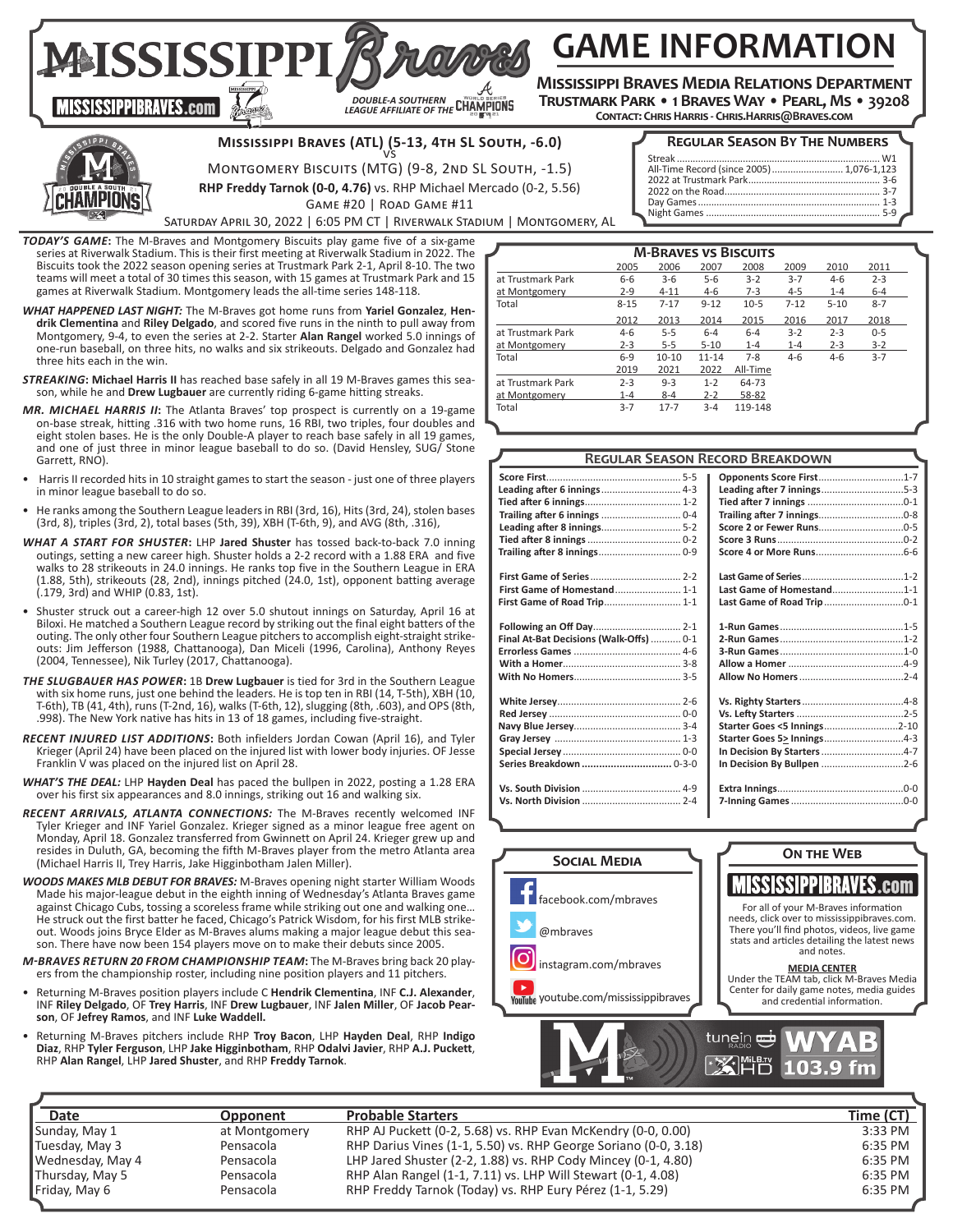**GAME INFORMATION**

**Mississippi Braves Media Relations Department Trustmark Park • 1 Braves Way • Pearl, Ms • 39208**

**Contact: Chris Harris - Chris.Harris@Braves.com** 



**MISSISSIPPIBRAVES.com** 

**Mississippi Braves (ATL) (5-13, 4th SL South, -6.0)**  vs

# **Regular Season By The Numbers** Streak ............................................................................. W1 All-Time Record (since 2005)........................... 1,076-1,123

2022 at Trustmark Park.................................................. 3-6 2022 on the Road........................................................... 3-7 Day Games..................................................................... 1-3

| MONTGOMERY BISCUITS (MTG) (9-8, 2ND SL SOUTH, -1.5) |  |
|-----------------------------------------------------|--|
|                                                     |  |

**RHP Freddy Tarnok (0-0, 4.76)** vs. RHP Michael Mercado (0-2, 5.56)

*DOUBLE-A SOUTHERN LEAGUE AFFILIATE OF THE*

Game #20 | Road Game #11

Saturday April 30, 2022 | 6:05 PM CT | Riverwalk Stadium | Montgomery, AL

*TODAY'S GAME***:** The M-Braves and Montgomery Biscuits play game five of a six-game series at Riverwalk Stadium. This is their first meeting at Riverwalk Stadium in 2022. The Biscuits took the 2022 season opening series at Trustmark Park 2-1, April 8-10. The two teams will meet a total of 30 times this season, with 15 games at Trustmark Park and 15 games at Riverwalk Stadium. Montgomery leads the all-time series 148-118.

MAISSISSIPPI,

- *WHAT HAPPENED LAST NIGHT:* The M-Braves got home runs from **Yariel Gonzalez**, **Hendrik Clementina** and **Riley Delgado**, and scored five runs in the ninth to pull away from Montgomery, 9-4, to even the series at 2-2. Starter **Alan Rangel** worked 5.0 innings of one-run baseball, on three hits, no walks and six strikeouts. Delgado and Gonzalez had three hits each in the win.
- *STREAKING***: Michael Harris II** has reached base safely in all 19 M-Braves games this season, while he and **Drew Lugbauer** are currently riding 6-game hitting streaks.
- *MR. MICHAEL HARRIS II***:** The Atlanta Braves' top prospect is currently on a 19-game on-base streak, hitting .316 with two home runs, 16 RBI, two triples, four doubles and eight stolen bases. He is the only Double-A player to reach base safely in all 19 games, and one of just three in minor league baseball to do so. (David Hensley, SUG/ Stone Garrett, RNO).
- Harris II recorded hits in 10 straight games to start the season just one of three players in minor league baseball to do so.
- He ranks among the Southern League leaders in RBI (3rd, 16), Hits (3rd, 24), stolen bases (3rd, 8), triples (3rd, 2), total bases (5th, 39), XBH (T-6th, 9), and AVG (8th, .316),
- *WHAT A START FOR SHUSTER***:** LHP **Jared Shuster** has tossed back-to-back 7.0 inning outings, setting a new career high. Shuster holds a 2-2 record with a 1.88 ERA and five walks to 28 strikeouts in 24.0 innings. He ranks top five in the Southern League in ERA (1.88, 5th), strikeouts (28, 2nd), innings pitched (24.0, 1st), opponent batting average  $(.179, 3rd)$  and WHIP  $(0.83, 1st)$ .
- Shuster struck out a career-high 12 over 5.0 shutout innings on Saturday, April 16 at Biloxi. He matched a Southern League record by striking out the final eight batters of the outing. The only other four Southern League pitchers to accomplish eight-straight strikeouts: Jim Jefferson (1988, Chattanooga), Dan Miceli (1996, Carolina), Anthony Reyes (2004, Tennessee), Nik Turley (2017, Chattanooga).
- *THE SLUGBAUER HAS POWER***:** 1B **Drew Lugbauer** is tied for 3rd in the Southern League with six home runs, just one behind the leaders. He is top ten in RBI (14, T-5th), XBH (10, T-6th), TB (41, 4th), runs (T-2nd, 16), walks (T-6th, 12), slugging (8th, .603), and OPS (8th, .998). The New York native has hits in 13 of 18 games, including five-straight.
- *RECENT INJURED LIST ADDITIONS***:** Both infielders Jordan Cowan (April 16), and Tyler Krieger (April 24) have been placed on the injured list with lower body injuries. OF Jesse Franklin V was placed on the injured list on April 28.
- *WHAT'S THE DEAL:* LHP **Hayden Deal** has paced the bullpen in 2022, posting a 1.28 ERA over his first six appearances and 8.0 innings, striking out 16 and walking six.
- *RECENT ARRIVALS, ATLANTA CONNECTIONS:* The M-Braves recently welcomed INF Tyler Krieger and INF Yariel Gonzalez. Krieger signed as a minor league free agent on Monday, April 18. Gonzalez transferred from Gwinnett on April 24. Krieger grew up and resides in Duluth, GA, becoming the fifth M-Braves player from the metro Atlanta area (Michael Harris II, Trey Harris, Jake Higginbotham Jalen Miller).
- *WOODS MAKES MLB DEBUT FOR BRAVES:* M-Braves opening night starter William Woods Made his major-league debut in the eighth inning of Wednesday's Atlanta Braves game against Chicago Cubs, tossing a scoreless frame while striking out one and walking one… He struck out the first batter he faced, Chicago's Patrick Wisdom, for his first MLB strikeout. Woods joins Bryce Elder as M-Braves alums making a major league debut this season. There have now been 154 players move on to make their debuts since 2005.
- *M-BRAVES RETURN 20 FROM CHAMPIONSHIP TEAM***:** The M-Braves bring back 20 players from the championship roster, including nine position players and 11 pitchers.
- Returning M-Braves position players include C **Hendrik Clementina**, INF **C.J. Alexander**, INF **Riley Delgado**, OF **Trey Harris**, INF **Drew Lugbauer**, INF **Jalen Miller**, OF **Jacob Pearson**, OF **Jefrey Ramos**, and INF **Luke Waddell.**
- Returning M-Braves pitchers include RHP **Troy Bacon**, LHP **Hayden Deal**, RHP **Indigo Diaz**, RHP **Tyler Ferguson**, LHP **Jake Higginbotham**, RHP **Odalvi Javier**, RHP **A.J. Puckett**, RHP **Alan Rangel**, LHP **Jared Shuster**, and RHP **Freddy Tarnok**.

| <b>M-BRAVES VS BISCUITS</b> |          |           |           |          |          |          |         |  |
|-----------------------------|----------|-----------|-----------|----------|----------|----------|---------|--|
|                             | 2005     | 2006      | 2007      | 2008     | 2009     | 2010     | 2011    |  |
| at Trustmark Park           | $6-6$    | $3 - 6$   | $5 - 6$   | $3 - 2$  | $3 - 7$  | $4-6$    | $2 - 3$ |  |
| at Montgomery               | $2 - 9$  | $4 - 11$  | $4-6$     | $7-3$    | $4 - 5$  | $1 - 4$  | $6 - 4$ |  |
| Total                       | $8 - 15$ | $7 - 17$  | $9 - 12$  | $10-5$   | $7 - 12$ | $5 - 10$ | $8 - 7$ |  |
|                             | 2012     | 2013      | 2014      | 2015     | 2016     | 2017     | 2018    |  |
| at Trustmark Park           | $4 - 6$  | $5 - 5$   | $6 - 4$   | $6 - 4$  | $3-2$    | $2 - 3$  | $0 - 5$ |  |
| at Montgomery               | $2 - 3$  | $5 - 5$   | $5 - 10$  | $1 - 4$  | $1 - 4$  | $2 - 3$  | $3 - 2$ |  |
| Total                       | $6 - 9$  | $10 - 10$ | $11 - 14$ | $7 - 8$  | $4 - 6$  | $4-6$    | $3 - 7$ |  |
|                             | 2019     | 2021      | 2022      | All-Time |          |          |         |  |
| at Trustmark Park           | $2 - 3$  | $9 - 3$   | $1 - 2$   | 64-73    |          |          |         |  |
| at Montgomery               | $1 - 4$  | $8 - 4$   | $2 - 2$   | 58-82    |          |          |         |  |
| Total                       | $3 - 7$  | $17 - 7$  | $3 - 4$   | 119-148  |          |          |         |  |

Night Games ...

|                                         | <b>REGULAR SEASON RECORD BREAKDOWN</b> |
|-----------------------------------------|----------------------------------------|
|                                         | Opponents Score First1-7               |
| Leading after 6 innings  4-3            |                                        |
|                                         |                                        |
|                                         |                                        |
|                                         |                                        |
|                                         |                                        |
|                                         |                                        |
|                                         |                                        |
| <b>First Game of Homestand 1-1</b>      | Last Game of Homestand1-1              |
| First Game of Road Trip 1-1             |                                        |
|                                         |                                        |
| Final At-Bat Decisions (Walk-Offs)  0-1 |                                        |
|                                         |                                        |
|                                         |                                        |
|                                         |                                        |
|                                         |                                        |
|                                         |                                        |
|                                         | Starter Goes <5 Innings2-10            |
|                                         | Starter Goes 5> Innings4-3             |
|                                         | In Decision By Starters 4-7            |
| Series Breakdown  0-3-0                 |                                        |
|                                         |                                        |
|                                         |                                        |
|                                         |                                        |



| Date              | Opponent      | <b>Probable Starters</b>                                        | Time (CT) |
|-------------------|---------------|-----------------------------------------------------------------|-----------|
| Sunday, May 1     | at Montgomery | RHP AJ Puckett (0-2, 5.68) vs. RHP Evan McKendry (0-0, 0.00)    | 3:33 PM   |
| Tuesday, May 3    | Pensacola     | RHP Darius Vines (1-1, 5.50) vs. RHP George Soriano (0-0, 3.18) | 6:35 PM   |
| ∥Wednesday, May 4 | Pensacola     | LHP Jared Shuster (2-2, 1.88) vs. RHP Cody Mincey (0-1, 4.80)   | 6:35 PM   |
| Thursday, May 5   | Pensacola     | RHP Alan Rangel (1-1, 7.11) vs. LHP Will Stewart (0-1, 4.08)    | 6:35 PM   |
| Friday, May 6     | Pensacola     | RHP Freddy Tarnok (Today) vs. RHP Eury Pérez (1-1, 5.29)        | 6:35 PM   |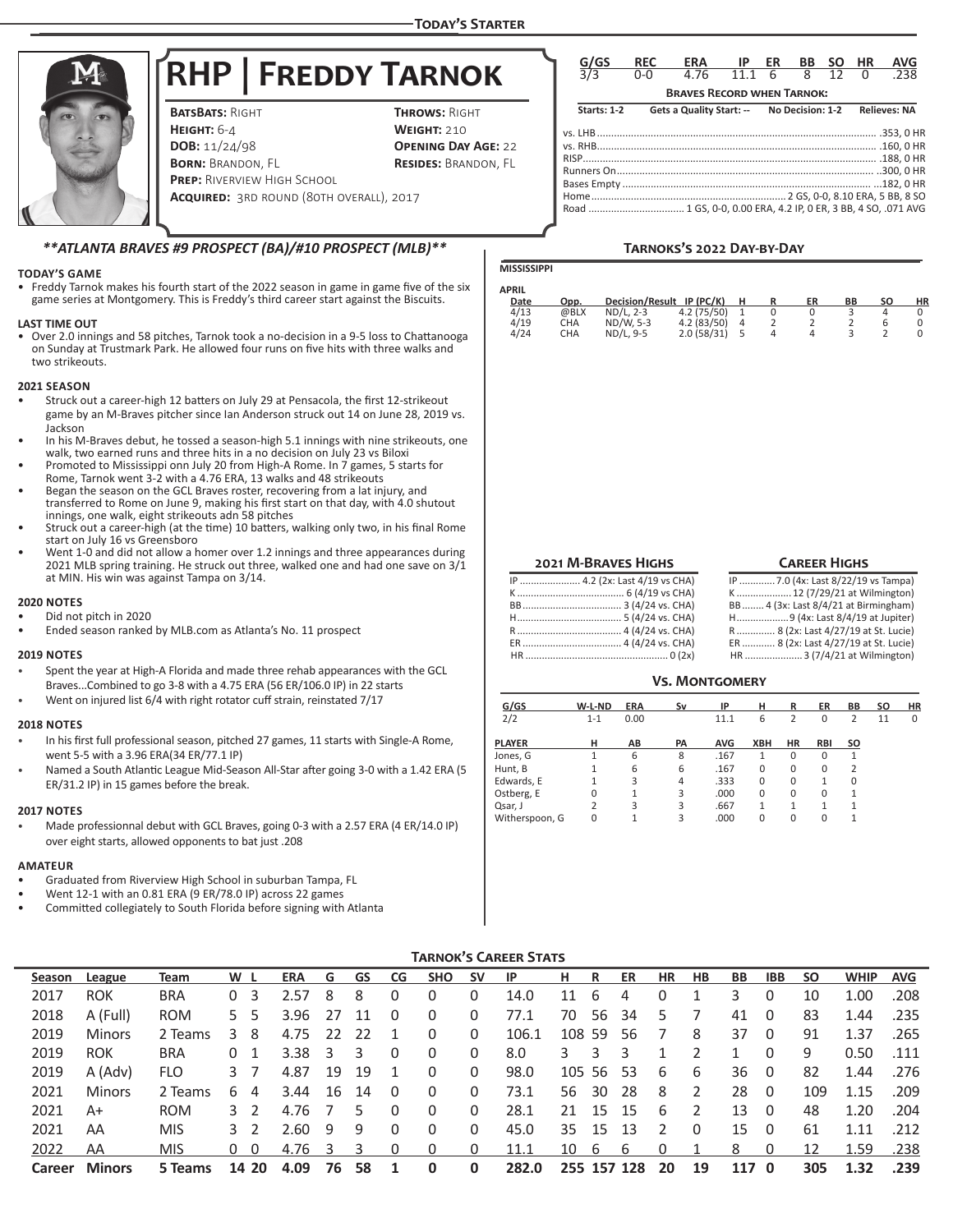# **RHP | Freddy Tarnok**

**BATSBATS: RIGHT THROWS: RIGHT HEIGHT:** 6-4 **WEIGHT: 210**<br>**DOB:** 11/24/98 **OPENING DAY BORN: BRANDON, FL RESIDES: BRANDON, FL PREP: RIVERVIEW HIGH SCHOOL Acquired:** 3rd round (80th overall), 2017

**OPENING DAY AGE: 22** 

| G/GS                                                          | <b>REC</b> | <b>ERA</b>                        | IP   | ER | ВB               | SΟ | НR | AVG                 |
|---------------------------------------------------------------|------------|-----------------------------------|------|----|------------------|----|----|---------------------|
| $\overline{3/3}$                                              | ი-ი        | 4.76                              | 11 1 | 6  | 8                | 12 | U  | 238                 |
|                                                               |            | <b>BRAVES RECORD WHEN TARNOK:</b> |      |    |                  |    |    |                     |
| <b>Starts: 1-2</b>                                            |            | Gets a Quality Start: --          |      |    | No Decision: 1-2 |    |    | <b>Relieves: NA</b> |
| Road  1 GS, 0-0, 0.00 ERA, 4.2 IP, 0 ER, 3 BB, 4 SO, .071 AVG |            |                                   |      |    |                  |    |    |                     |

# *\*\*ATLANTA BRAVES #9 PROSPECT (BA)/#10 PROSPECT (MLB)\*\**

#### **TODAY'S GAME**

• Freddy Tarnok makes his fourth start of the 2022 season in game in game five of the six game series at Montgomery. This is Freddy's third career start against the Biscuits.

#### **LAST TIME OUT**

• Over 2.0 innings and 58 pitches, Tarnok took a no-decision in a 9-5 loss to Chattanooga on Sunday at Trustmark Park. He allowed four runs on five hits with three walks and two strikeouts.

#### **2021 SEASON**

- Struck out a career-high 12 batters on July 29 at Pensacola, the first 12-strikeout game by an M-Braves pitcher since Ian Anderson struck out 14 on June 28, 2019 vs. Jackson
- In his M-Braves debut, he tossed a season-high 5.1 innings with nine strikeouts, one walk, two earned runs and three hits in a no decision on July 23 vs Biloxi
- Promoted to Mississippi onn July 20 from High-A Rome. In 7 games, 5 starts for Rome, Tarnok went 3-2 with a 4.76 ERA, 13 walks and 48 strikeouts
- Began the season on the GCL Braves roster, recovering from a lat injury, and transferred to Rome on June 9, making his first start on that day, with 4.0 shutout innings, one walk, eight strikeouts adn 58 pitches
- Struck out a career-high (at the time) 10 batters, walking only two, in his final Rome start on July 16 vs Greensboro
- Went 1-0 and did not allow a homer over 1.2 innings and three appearances during 2021 MLB spring training. He struck out three, walked one and had one save on  $3/\overline{1}$ at MIN. His win was against Tampa on 3/14.

#### **2020 NOTES**

- Did not pitch in 2020
- Ended season ranked by MLB.com as Atlanta's No. 11 prospect

#### **2019 NOTES**

- Spent the year at High-A Florida and made three rehab appearances with the GCL Braves...Combined to go 3-8 with a 4.75 ERA (56 ER/106.0 IP) in 22 starts
- Went on injured list 6/4 with right rotator cuff strain, reinstated 7/17

### **2018 NOTES**

- In his first full professional season, pitched 27 games, 11 starts with Single-A Rome, went 5-5 with a 3.96 ERA(34 ER/77.1 IP)
- Named a South Atlantic League Mid-Season All-Star after going 3-0 with a 1.42 ERA (5 ER/31.2 IP) in 15 games before the break.

#### **2017 NOTES**

• Made professionnal debut with GCL Braves, going 0-3 with a 2.57 ERA (4 ER/14.0 IP) over eight starts, allowed opponents to bat just .208

# **AMATEUR**

- Graduated from Riverview High School in suburban Tampa, FL
- Went 12-1 with an 0.81 ERA (9 ER/78.0 IP) across 22 games
- Committed collegiately to South Florida before signing with Atlanta

# **Tarnoks's 2022 Day-by-Day**

|  | MISSISSI |
|--|----------|
|  |          |

**PPI** 

| <b>APRIL</b> |      |                        |             |   |    |    |    |    |
|--------------|------|------------------------|-------------|---|----|----|----|----|
| Date         | Opp. | <b>Decision/Result</b> | $IP$ (PC/K) | н | ER | ВB | SΟ | НR |
| 4/13         | @BLX | ND/L, 2-3              | 4.2(75/50)  |   |    |    |    |    |
| 4/19         | CHA  | ND/W. 5-3              | 4.2(83/50)  |   |    |    |    |    |
| 4/24         | CHA  | ND/L, 9-5              | 2.0(58/31)  |   |    |    |    |    |
|              |      |                        |             |   |    |    |    |    |

#### **Career Highs**

| IP  4.2 (2x: Last 4/19 vs CHA) |
|--------------------------------|
|                                |
|                                |
|                                |
|                                |
|                                |
|                                |

IP .............7.0 (4x: Last 8/22/19 vs Tampa) ..12 (7/29/21 at Wilmington) BB........ 4 (3x: Last 8/4/21 at Birmingham) H...................9 (4x: Last 8/4/19 at Jupiter) R .............. 8 (2x: Last 4/27/19 at St. Lucie) ER ............ 8 (2x: Last 4/27/19 at St. Lucie)  $...3$  (7/4/21 at Wilmington)

#### **Vs. Montgomery**

| G/GS           | W-L-ND         | <b>ERA</b> | Sv        | IP         | н        | R         | ER         | BB        | <b>SO</b> | <b>HR</b> |
|----------------|----------------|------------|-----------|------------|----------|-----------|------------|-----------|-----------|-----------|
| 2/2            | $1 - 1$        | 0.00       |           | 11.1       | 6        | 2         | 0          | 2         | 11        | 0         |
| <b>PLAYER</b>  | н              | AB         | <b>PA</b> | <b>AVG</b> | XBH      | <b>HR</b> | <b>RBI</b> | <b>SO</b> |           |           |
| Jones, G       | 1              | 6          | 8         | .167       | 1        | $\Omega$  | 0          | 1         |           |           |
| Hunt, B        | 1              | 6          | 6         | .167       | $\Omega$ | 0         | 0          | 2         |           |           |
| Edwards, E     | $\mathbf{1}$   | 3          | 4         | .333       | $\Omega$ | $\Omega$  | 1          | $\Omega$  |           |           |
| Ostberg, E     | 0              | 1          | 3         | .000       | $\Omega$ | $\Omega$  | $\Omega$   |           |           |           |
| Qsar, J        | $\overline{2}$ | 3          | 3         | .667       | 1        | 1         |            |           |           |           |
| Witherspoon, G | 0              | 1          | 3         | .000       | $\Omega$ | $\Omega$  | $\Omega$   |           |           |           |

# **Tarnok's Career Stats**

| Season | League        | Team       | W L |          | <b>ERA</b> | G  | GS | CG           | <b>SHO</b> | <b>SV</b> | -IP   | н. | R      | ER          | HR | HB | BB    | <b>IBB</b> | <b>SO</b> | <b>WHIP</b> | <b>AVG</b> |
|--------|---------------|------------|-----|----------|------------|----|----|--------------|------------|-----------|-------|----|--------|-------------|----|----|-------|------------|-----------|-------------|------------|
| 2017   | <b>ROK</b>    | <b>BRA</b> | 0   | 3        | 2.57       | 8  | 8  |              | 0          | 0         | 14.0  | 11 | 6      | 4           |    |    | 3     | 0          | 10        | 1.00        | .208       |
| 2018   | A (Full)      | <b>ROM</b> | 5.  | 5        | 3.96       | 27 | 11 |              | 0          | 0         | 77.1  | 70 | 56     | 34          | 5  |    | 41    | 0          | 83        | 1.44        | .235       |
| 2019   | <b>Minors</b> | 2 Teams    | 3.  | 8        | 4.75       | 22 | 22 |              | 0          | 0         | 106.1 |    | 108 59 | 56          |    | 8  | 37    | 0          | 91        | 1.37        | .265       |
| 2019   | <b>ROK</b>    | <b>BRA</b> | 0   |          | 3.38       | 3  |    | 0            | 0          | 0         | 8.0   | 3  | 3      |             |    |    |       | 0          | 9         | 0.50        | .111       |
| 2019   | A (Adv)       | <b>FLO</b> | 3   |          | 4.87       | 19 | 19 |              | 0          | 0         | 98.0  |    | 105 56 | -53         | 6  | 6  | 36    | 0          | 82        | 1.44        | .276       |
| 2021   | <b>Minors</b> | 2 Teams    | 6   | 4        | 3.44       | 16 | 14 | $\Omega$     | 0          | 0         | 73.1  | 56 | 30     | 28          | 8  | 2  | 28    | $\Omega$   | 109       | 1.15        | .209       |
| 2021   | A+            | <b>ROM</b> | 32  |          | 4.76       |    | b. | $\Omega$     | 0          | 0         | 28.1  | 21 | -15    | -15         | 6  |    | 13    | $\Omega$   | 48        | 1.20        | .204       |
| 2021   | AA            | <b>MIS</b> |     | 32       | 2.60       | 9  | 9  | $\mathbf{0}$ | 0          | 0         | 45.0  | 35 | -15    | 13          | 2  | 0  | 15    | 0          | 61        | 1.11        | .212       |
| 2022   | AA            | <b>MIS</b> | 0   | $\Omega$ | 4.76       |    |    |              | 0          |           | 11.1  | 10 | 6      | b           |    |    | 8     | 0          | 12        | 1.59        | .238       |
| Career | <b>Minors</b> | 5 Teams    |     | 14 20    | 4.09       | 76 | 58 |              | 0          | 0         | 282.0 |    |        | 255 157 128 | 20 | 19 | 117 0 |            | 305       | 1.32        | .239       |

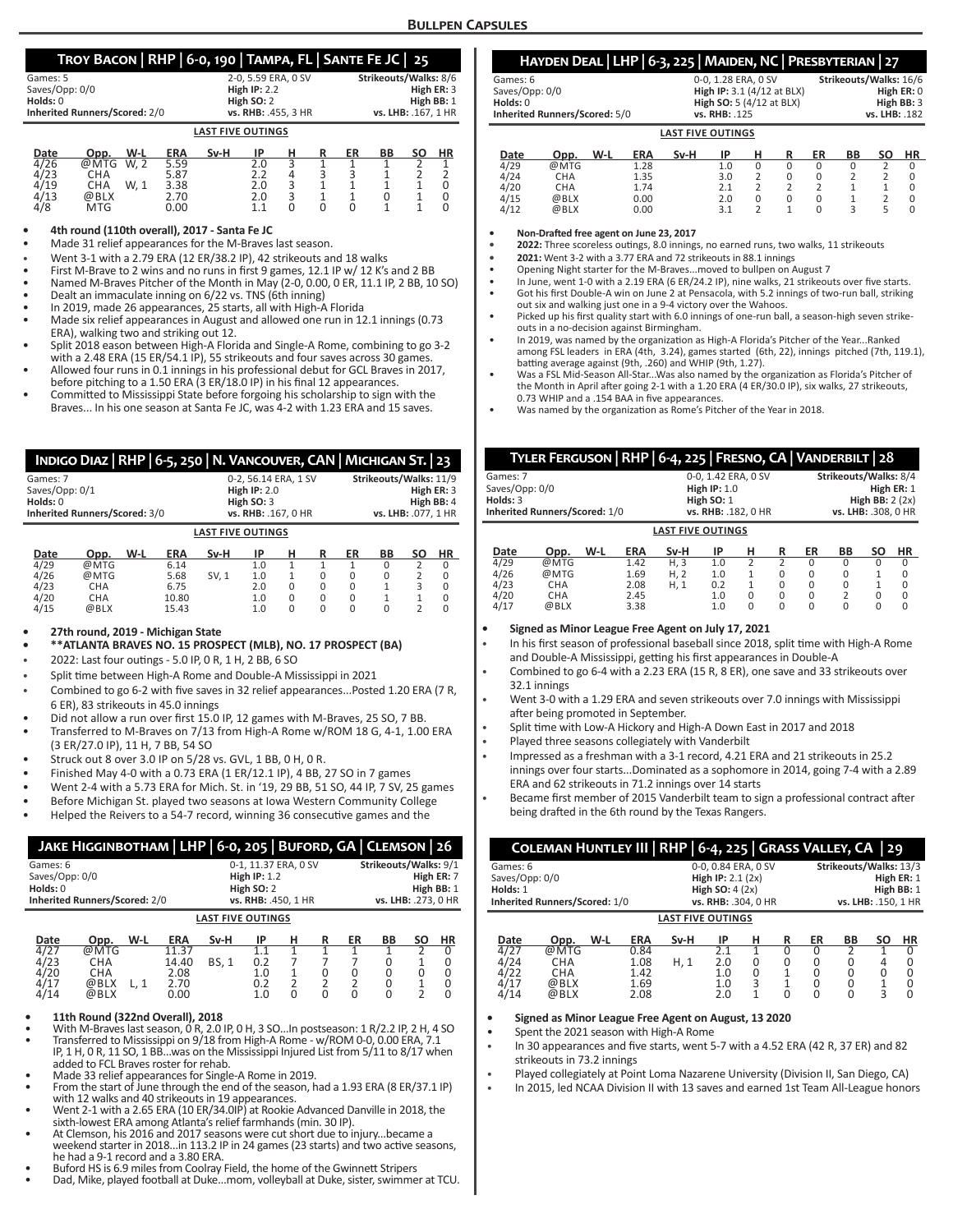# **Troy Bacon | RHP | 6-0, 190 | Tampa, FL | Sante Fe JC | 25**

| Games: 5                             | 2-0.5.59 ERA. 0 SV       | Strikeouts/Walks: 8/6 |
|--------------------------------------|--------------------------|-----------------------|
| Saves/Opp: 0/0                       | High $IP: 2.2$           | High ER: 3            |
| Holds: 0                             | High SO: 2               | High BB: 1            |
| <b>Inherited Runners/Scored: 2/0</b> | vs. RHB: 455.3 HR        | vs. LHB: .167. 1 HR   |
|                                      | <b>LAST FIVE OUTINGS</b> |                       |

| Date | W-L<br>Opp.        | <b>ERA</b> | Sv-H | ΙP  |   | ER | ВB | SΟ | HR |
|------|--------------------|------------|------|-----|---|----|----|----|----|
| 4/26 | @MTG<br>W. 2       | 5.59       |      | 2.0 |   |    |    |    |    |
| 4/23 | СНА                | 5.87       |      | 2.2 | 4 |    |    |    |    |
| 4/19 | W. 1<br><b>CHA</b> | 3.38       |      | 2.0 |   |    |    |    |    |
| 4/13 | @BLX               | 2.70       |      | 2.0 |   |    |    |    |    |
| 4/8  | MTG                | 0.00       |      |     |   |    |    |    |    |

**• 4th round (110th overall), 2017 - Santa Fe JC** 

Made 31 relief appearances for the M-Braves last season.

- Went 3-1 with a 2.79 ERA (12 ER/38.2 IP), 42 strikeouts and 18 walks
- First M-Brave to 2 wins and no runs in first 9 games, 12.1 IP w/ 12 K's and 2 BB
- Named M-Braves Pitcher of the Month in May (2-0, 0.00, 0 ER, 11.1 IP, 2 BB, 10 SO)
- Dealt an immaculate inning on 6/22 vs. TNS (6th inning)
- In 2019, made 26 appearances, 25 starts, all with High-A Florida
- Made six relief appearances in August and allowed one run in 12.1 innings (0.73 ERA), walking two and striking out 12.
- Split 2018 eason between High-A Florida and Single-A Rome, combining to go 3-2 with a 2.48 ERA (15 ER/54.1 IP), 55 strikeouts and four saves across 30 games.
- Allowed four runs in 0.1 innings in his professional debut for GCL Braves in 2017, before pitching to a 1.50 ERA (3 ER/18.0 IP) in his final 12 appearances.
- Committed to Mississippi State before forgoing his scholarship to sign with the Braves... In his one season at Santa Fe JC, was 4-2 with 1.23 ERA and 15 saves.

|                | INDIGO DIAZ   RHP   6-5, 250   N. VANCOUVER, CAN   MICHIGAN ST.   23 |                |                      |                      |     |          |                      |          |                        |               |           |  |  |  |
|----------------|----------------------------------------------------------------------|----------------|----------------------|----------------------|-----|----------|----------------------|----------|------------------------|---------------|-----------|--|--|--|
| Games: 7       |                                                                      |                |                      | 0-2, 56.14 ERA, 1 SV |     |          |                      |          | Strikeouts/Walks: 11/9 |               |           |  |  |  |
| Saves/Opp: 0/1 |                                                                      | High $IP: 2.0$ |                      |                      |     |          |                      |          | High ER: 3             |               |           |  |  |  |
| Holds: 0       |                                                                      |                | High SO: 3           |                      |     |          |                      |          | High BB: 4             |               |           |  |  |  |
|                | Inherited Runners/Scored: 3/0                                        |                | vs. RHB: . 167, 0 HR |                      |     |          | vs. LHB: . 077, 1 HR |          |                        |               |           |  |  |  |
|                | <b>LAST FIVE OUTINGS</b>                                             |                |                      |                      |     |          |                      |          |                        |               |           |  |  |  |
| Date           | Opp.                                                                 | W-L            | <b>ERA</b>           | Sv-H                 | ΙP  | н        | R                    | ER       | BB                     | SΟ            | <b>HR</b> |  |  |  |
| 4/29           | @MTG                                                                 |                | 6.14                 |                      | 1.0 | 1        | 1                    | 1        | $\Omega$               | 2             | $\Omega$  |  |  |  |
| 4/26           | @MTG                                                                 |                | 5.68                 | SV. 1                | 1.0 | 1        | 0                    | $\Omega$ | $\Omega$               | 2             | $\Omega$  |  |  |  |
| 4/23           | <b>CHA</b>                                                           |                | 6.75                 |                      | 2.0 | $\Omega$ | O                    | $\Omega$ |                        | 3             | U         |  |  |  |
| 4/20           | <b>CHA</b>                                                           |                | 10.80                |                      | 1.0 | $\Omega$ | 0                    | 0        | 1                      | $\mathbf{1}$  | $\Omega$  |  |  |  |
| 4/15           | @BLX                                                                 |                | 15.43                |                      | 1.0 | $\Omega$ | U                    | 0        | 0                      | $\mathcal{P}$ | $\Omega$  |  |  |  |

# **• 27th round, 2019 - Michigan State**

**• \*\*ATLANTA BRAVES NO. 15 PROSPECT (MLB), NO. 17 PROSPECT (BA)**

- 2022: Last four outings 5.0 IP, 0 R, 1 H, 2 BB, 6 SO
- Split time between High-A Rome and Double-A Mississippi in 2021
- Combined to go 6-2 with five saves in 32 relief appearances...Posted 1.20 ERA (7 R, 6 ER), 83 strikeouts in 45.0 innings
- Did not allow a run over first 15.0 IP, 12 games with M-Braves, 25 SO, 7 BB.
- Transferred to M-Braves on 7/13 from High-A Rome w/ROM 18 G, 4-1, 1.00 ERA (3 ER/27.0 IP), 11 H, 7 BB, 54 SO
- Struck out 8 over 3.0 IP on 5/28 vs. GVL, 1 BB, 0 H, 0 R.
- Finished May 4-0 with a 0.73 ERA (1 ER/12.1 IP), 4 BB, 27 SO in 7 games
- Went 2-4 with a 5.73 ERA for Mich. St. in '19, 29 BB, 51 SO, 44 IP, 7 SV, 25 games
- Before Michigan St. played two seasons at Iowa Western Community College
- Helped the Reivers to a 54-7 record, winning 36 consecutive games and the

| JAKE HIGGINBOTHAM   LHP   6-0, 205   BUFORD, GA   CLEMSON   26 |                                          |                                                                                   |                                                                          |              |                          |                     |                                 |                                 |                         |    |                         |
|----------------------------------------------------------------|------------------------------------------|-----------------------------------------------------------------------------------|--------------------------------------------------------------------------|--------------|--------------------------|---------------------|---------------------------------|---------------------------------|-------------------------|----|-------------------------|
| Games: 6<br>Saves/Opp: 0/0<br>Holds: 0                         | <b>Inherited Runners/Scored: 2/0</b>     | 0-1, 11.37 ERA, 0 SV<br><b>High IP: 1.2</b><br>High $SO:2$<br>vs. RHB: .450, 1 HR | Strikeouts/Walks: 9/1<br>High ER: 7<br>High BB: 1<br>vs. LHB: .273. 0 HR |              |                          |                     |                                 |                                 |                         |    |                         |
| <b>LAST FIVE OUTINGS</b>                                       |                                          |                                                                                   |                                                                          |              |                          |                     |                                 |                                 |                         |    |                         |
| Date<br>4/27                                                   | Opp.<br>@MTG                             | W-L                                                                               | <b>ERA</b>                                                               | Sv-H         | IP<br>1.1                | н<br>1              | R                               | ER                              | <b>BB</b>               | SΟ | HR<br>0                 |
| 4/23<br>4/20<br>4/17<br>4/14                                   | <b>CHA</b><br><b>CHA</b><br>@BLX<br>@BLX | L, 1                                                                              | 11.37<br>14.40<br>2.08<br>2.70<br>0.00                                   | <b>BS, 1</b> | 0.2<br>1.0<br>0.2<br>1.0 | $\overline{2}$<br>O | 0<br>$\overline{2}$<br>$\Omega$ | 0<br>$\overline{2}$<br>$\Omega$ | 0<br>0<br>0<br>$\Omega$ | 2  | 0<br>0<br>0<br>$\Omega$ |
|                                                                | 11th Round (322nd Overall) 2018          |                                                                                   |                                                                          |              |                          |                     |                                 |                                 |                         |    |                         |

- 
- **11th Round (322nd Overall), 2018**<br>• With M-Braves last season, 0 R, 2.0 IP, 0 H, 3 SO...In postseason: 1 R/2.2 IP, 2 H, 4 SO<br>• Transferred to Mississippi on 9/18 from High-A Rome w/ROM 0-0, 0.00 ERA, 7.1<br>IP, 1 H, 0 R, 1
- 
- added to FCL Braves roster for rehab.<br>• Made 33 relief appearances for Single-A Rome in 2019.<br>• From the start of June through the end of the season, had a 1.93 ERA (8 ER/37.1 IP)
- with 12 walks and 40 strikeouts in 19 appearances. Went 2-1 with a 2.65 ERA (10 ER/34.0IP) at Rookie Advanced Danville in 2018, the
- sixth-lowest ERA among Atlanta's relief farmhands (min. 30 IP). At Clemson, his 2016 and 2017 seasons were cut short due to injury...became a
- weekend starter in 2018...in 113.2 IP in 24 games (23 starts) and two active seasons,
- 
- Buford HS is 6.9 miles from Coolray Field, the home of the Gwinnett Stripers<br>Dad, Mike, played football at Duke...mom, volleyball at Duke, sister, swimmer at TCU.

# **Hayden Deal | LHP | 6-3, 225 | Maiden, NC | Presbyterian | 27**

|                               | <b>LAST FIVE OUTINGS</b>   |                        |
|-------------------------------|----------------------------|------------------------|
| Inherited Runners/Scored: 5/0 | vs. RHB: .125              | vs. LHB: .182          |
| Holds: 0                      | High SO: 5 (4/12 at BLX)   | High BB: 3             |
| Saves/Opp: 0/0                | High IP: 3.1 (4/12 at BLX) | High $ER: 0$           |
| Games: 6                      | 0-0.1.28 ERA. 0 SV         | Strikeouts/Walks: 16/6 |

| Date | Opp. | W-L | ERA  | Sv-H | IP  | н | R | ER | BВ | ΗR |
|------|------|-----|------|------|-----|---|---|----|----|----|
| 4/29 | @MTG |     | 1.28 |      | 1.0 |   |   |    |    |    |
| 4/24 | CHA  |     | 1.35 |      | 3.0 |   |   |    |    |    |
| 4/20 | CHA  |     | 1.74 |      |     |   |   |    |    |    |
| 4/15 | @BLX |     | 0.00 |      | 2.0 |   |   |    |    |    |
| 4/12 | @BLX |     | 0.00 |      |     |   |   |    |    |    |

**• Non-Drafted free agent on June 23, 2017**

**• 2022:** Three scoreless outings, 8.0 innings, no earned runs, two walks, 11 strikeouts

**• 2021:** Went 3-2 with a 3.77 ERA and 72 strikeouts in 88.1 innings

- Opening Night starter for the M-Braves...moved to bullpen on August 7
- In June, went 1-0 with a 2.19 ERA (6 ER/24.2 IP), nine walks, 21 strikeouts over five starts. • Got his first Double-A win on June 2 at Pensacola, with 5.2 innings of two-run ball, striking out six and walking just one in a 9-4 victory over the Wahoos.
- Picked up his first quality start with 6.0 innings of one-run ball, a season-high seven strikeouts in a no-decision against Birmingham.
- In 2019, was named by the organization as High-A Florida's Pitcher of the Year...Ranked among FSL leaders in ERA (4th, 3.24), games started (6th, 22), innings pitched (7th, 119.1),<br>batting average against (9th, .260) and WHIP (9th, 1.27).
- Was a FSL Mid-Season All-Star...Was also named by the organization as Florida's Pitcher of the Month in April after going 2-1 with a 1.20 ERA (4 ER/30.0 IP), six walks, 27 strikeouts, 0.73 WHIP and a .154 BAA in five appearances.
- Was named by the organization as Rome's Pitcher of the Year in 2018.

| TYLER FERGUSON   RHP   6-4, 225   FRESNO, CA   VANDERBILT   28 |                               |     |            |                     |                     |               |               |                  |                       |    |           |  |  |  |
|----------------------------------------------------------------|-------------------------------|-----|------------|---------------------|---------------------|---------------|---------------|------------------|-----------------------|----|-----------|--|--|--|
| Games: 7                                                       |                               |     |            | 0-0, 1.42 ERA, 0 SV |                     |               |               |                  | Strikeouts/Walks: 8/4 |    |           |  |  |  |
| Saves/Opp: 0/0                                                 |                               |     |            | High $IP: 1.0$      |                     |               |               |                  | High ER: 1            |    |           |  |  |  |
| Holds: 3                                                       |                               |     | High SO: 1 |                     |                     |               |               | High BB: $2(2x)$ |                       |    |           |  |  |  |
|                                                                | Inherited Runners/Scored: 1/0 |     |            |                     | vs. RHB: .182, 0 HR |               |               |                  | vs. LHB: .308, 0 HR   |    |           |  |  |  |
|                                                                | <b>LAST FIVE OUTINGS</b>      |     |            |                     |                     |               |               |                  |                       |    |           |  |  |  |
| Date                                                           | Opp.                          | W-L | <b>ERA</b> | Sv-H                | ΙP                  | н             | R             | ER               | BB                    | SΟ | <b>HR</b> |  |  |  |
| 4/29                                                           | @MTG                          |     | 1.42       | H.3                 | 1.0                 | $\mathcal{P}$ | $\mathcal{P}$ | $\Omega$         | $\Omega$              | O  | $\Omega$  |  |  |  |
| 4/26                                                           | @MTG                          |     | 1.69       | H, 2                | 1.0                 | 1             | $\Omega$      | $\Omega$         | $\Omega$              |    | 0         |  |  |  |
| 4/23                                                           | <b>CHA</b>                    |     | 2.08       | H.1                 | 0.2                 | 1             | $\Omega$      | $\Omega$         | $\Omega$              |    | $\Omega$  |  |  |  |
| 4/20                                                           | <b>CHA</b>                    |     | 2.45       |                     | 1.0                 | O             | $\Omega$      | $\Omega$         | C                     | O  | $\Omega$  |  |  |  |
| 4/17                                                           | @BLX                          |     | 3.38       |                     | 1.0                 | O             | $\Omega$      | $\Omega$         | $\Omega$              | O  | $\Omega$  |  |  |  |

#### **• Signed as Minor League Free Agent on July 17, 2021**

- In his first season of professional baseball since 2018, split time with High-A Rome and Double-A Mississippi, getting his first appearances in Double-A
- Combined to go 6-4 with a 2.23 ERA (15 R, 8 ER), one save and 33 strikeouts over 32.1 innings
- Went 3-0 with a 1.29 ERA and seven strikeouts over 7.0 innings with Mississippi after being promoted in September.
- Split time with Low-A Hickory and High-A Down East in 2017 and 2018
- Played three seasons collegiately with Vanderbilt
- Impressed as a freshman with a 3-1 record, 4.21 ERA and 21 strikeouts in 25.2 innings over four starts...Dominated as a sophomore in 2014, going 7-4 with a 2.89 ERA and 62 strikeouts in 71.2 innings over 14 starts
- Became first member of 2015 Vanderbilt team to sign a professional contract after being drafted in the 6th round by the Texas Rangers.

|                                                                                                                                           | COLEMAN HUNTLEY III   RHP   6-4, 225   GRASS VALLEY, CA   29 |  |                                                                                      |      |                                 |                       |             |                                                                           |                         |                             |                                     |  |  |
|-------------------------------------------------------------------------------------------------------------------------------------------|--------------------------------------------------------------|--|--------------------------------------------------------------------------------------|------|---------------------------------|-----------------------|-------------|---------------------------------------------------------------------------|-------------------------|-----------------------------|-------------------------------------|--|--|
| Games: 6<br>Saves/Opp: 0/0<br>Holds: 1                                                                                                    |                                                              |  | 0-0, 0.84 ERA, 0 SV<br>High IP: $2.1(2x)$<br>High SO: $4(2x)$<br>vs. RHB: .304, 0 HR |      |                                 |                       |             | Strikeouts/Walks: 13/3<br>High ER: 1<br>High BB: 1<br>vs. LHB: .150, 1 HR |                         |                             |                                     |  |  |
| Inherited Runners/Scored: 1/0<br><b>LAST FIVE OUTINGS</b><br>ER<br>W-L<br>н<br><b>ERA</b><br>ΙP<br><b>BB</b><br>Sv-H<br>Date<br>R<br>Opp. |                                                              |  |                                                                                      |      |                                 |                       |             |                                                                           |                         | SΟ                          | <b>HR</b>                           |  |  |
| 4/27<br>4/24<br>4/22<br>4/17<br>4/14                                                                                                      | @MTG<br><b>CHA</b><br><b>CHA</b><br>@BLX<br>@BLX             |  | 0.84<br>1.08<br>1.42<br>1.69<br>2.08                                                 | H, 1 | 2.1<br>2.0<br>1.0<br>1.0<br>2.0 | 1<br>0<br>0<br>3<br>1 | O<br>0<br>U | 0<br>0<br>$\Omega$<br>$\mathbf 0$<br>$\Omega$                             | າ<br>0<br>0<br>$\Omega$ | 4<br>0<br>$\mathbf{1}$<br>3 | $\Omega$<br>0<br>0<br>0<br>$\Omega$ |  |  |

### **• Signed as Minor League Free Agent on August, 13 2020**

- Spent the 2021 season with High-A Rome
- In 30 appearances and five starts, went 5-7 with a 4.52 ERA (42 R, 37 ER) and 82 strikeouts in 73.2 innings
- Played collegiately at Point Loma Nazarene University (Division II, San Diego, CA)
- In 2015, led NCAA Division II with 13 saves and earned 1st Team All-League honors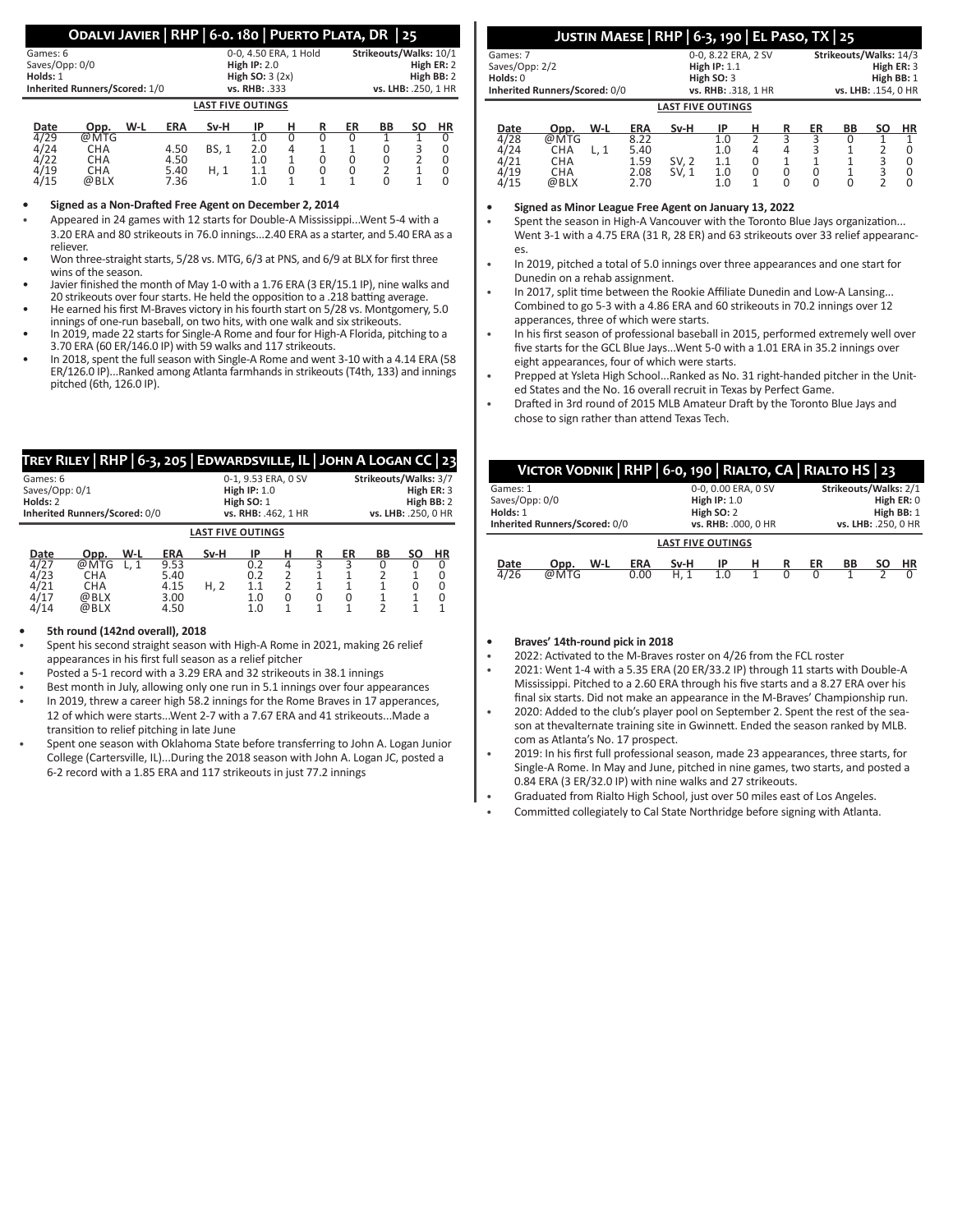# **Odalvi Javier | RHP | 6-0. 180 | Puerto Plata, DR | 25**

|                                   | Games: 6       |  |  |  |                          | 0-0, 4.50 ERA, 1 Hold |   |  | Strikeouts/Walks: 10/1 |                     |           |            |  |  |  |
|-----------------------------------|----------------|--|--|--|--------------------------|-----------------------|---|--|------------------------|---------------------|-----------|------------|--|--|--|
|                                   | Saves/Opp: 0/0 |  |  |  |                          | High $IP: 2.0$        |   |  |                        |                     |           | High ER: 2 |  |  |  |
|                                   | Holds: 1       |  |  |  | High SO: $3(2x)$         |                       |   |  |                        | High BB: 2          |           |            |  |  |  |
| Inherited Runners/Scored: 1/0     |                |  |  |  | vs. RHB: .333            |                       |   |  |                        | vs. LHB: .250, 1 HR |           |            |  |  |  |
|                                   |                |  |  |  | <b>LAST FIVE OUTINGS</b> |                       |   |  |                        |                     |           |            |  |  |  |
| W-L<br><b>ERA</b><br>Date<br>Opp. |                |  |  |  | Sv-H                     | ΙP                    | н |  | ER                     | BB                  | <b>SO</b> | HR         |  |  |  |
| 4/29                              |                |  |  |  |                          | 1.0                   |   |  |                        |                     |           |            |  |  |  |

| 4/29                | @MTG       |      |             | 1.0 |  |  | 0 |
|---------------------|------------|------|-------------|-----|--|--|---|
| 4/24                | <b>CHA</b> | 4.50 | <b>BS.1</b> | 2.0 |  |  | 0 |
| $\frac{4/22}{4/19}$ | <b>CHA</b> | 4.50 |             | 1.0 |  |  | 0 |
|                     | <b>CHA</b> | 5.40 | H.1         | 1.1 |  |  | 0 |
| 4/15                | @BLX       | 7.36 |             | 1.0 |  |  | 0 |
|                     |            |      |             |     |  |  |   |

# **• Signed as a Non-Drafted Free Agent on December 2, 2014**

- Appeared in 24 games with 12 starts for Double-A Mississippi...Went 5-4 with a 3.20 ERA and 80 strikeouts in 76.0 innings...2.40 ERA as a starter, and 5.40 ERA as a reliever.
- Won three-straight starts, 5/28 vs. MTG, 6/3 at PNS, and 6/9 at BLX for first three wins of the season.
- Javier finished the month of May 1-0 with a 1.76 ERA (3 ER/15.1 IP), nine walks and 20 strikeouts over four starts. He held the opposition to a .218 batting average.
- He earned his first M-Braves victory in his fourth start on 5/28 vs. Montgomery, 5.0 innings of one-run baseball, on two hits, with one walk and six strikeouts.
- In 2019, made 22 starts for Single-A Rome and four for High-A Florida, pitching to a 3.70 ERA (60 ER/146.0 IP) with 59 walks and 117 strikeouts.
- In 2018, spent the full season with Single-A Rome and went 3-10 with a 4.14 ERA (58 ER/126.0 IP)...Ranked among Atlanta farmhands in strikeouts (T4th, 133) and innings pitched (6th, 126.0 IP).

|                                        | TREY RILEY   RHP   6-3, 205   EDWARDSVILLE, IL   JOHN A LOGAN CC   23 |                                                                            |                                                    |              |                                       |                                     |                                                                          |              |         |    |                          |
|----------------------------------------|-----------------------------------------------------------------------|----------------------------------------------------------------------------|----------------------------------------------------|--------------|---------------------------------------|-------------------------------------|--------------------------------------------------------------------------|--------------|---------|----|--------------------------|
| Games: 6<br>Saves/Opp: 0/1<br>Holds: 2 | Inherited Runners/Scored: 0/0                                         | 0-1, 9.53 ERA, 0 SV<br>High $IP: 1.0$<br>High SO: 1<br>vs. RHB: .462, 1 HR |                                                    |              |                                       |                                     | Strikeouts/Walks: 3/7<br>High ER: 3<br>High BB: 2<br>vs. LHB: .250, 0 HR |              |         |    |                          |
|                                        | <b>LAST FIVE OUTINGS</b>                                              |                                                                            |                                                    |              |                                       |                                     |                                                                          |              |         |    |                          |
| Date<br>4/27<br>4/23<br>4/21<br>/17    | Opp.<br>@MTG<br><b>CHA</b><br><b>CHA</b><br>@BLX<br>@BLX              | W-L<br>L.1                                                                 | <b>ERA</b><br>9.53<br>5.40<br>4.15<br>3.00<br>4.50 | Sv-H<br>H, 2 | IP<br>0.2<br>0.2<br>1.1<br>1.0<br>1.0 | н<br>4<br>$\mathcal{D}$<br>$\Omega$ | R<br>0                                                                   | ER<br>3<br>0 | BB<br>C | SΟ | <b>HR</b><br>0<br>0<br>0 |

# **• 5th round (142nd overall), 2018**

- Spent his second straight season with High-A Rome in 2021, making 26 relief appearances in his first full season as a relief pitcher
- Posted a 5-1 record with a 3.29 ERA and 32 strikeouts in 38.1 innings
- Best month in July, allowing only one run in 5.1 innings over four appearances In 2019, threw a career high 58.2 innings for the Rome Braves in 17 apperances,
- 12 of which were starts...Went 2-7 with a 7.67 ERA and 41 strikeouts...Made a transition to relief pitching in late June
- Spent one season with Oklahoma State before transferring to John A. Logan Junior College (Cartersville, IL)...During the 2018 season with John A. Logan JC, posted a 6-2 record with a 1.85 ERA and 117 strikeouts in just 77.2 innings

|                               | JUSTIN MAESE   RHP   6-3, 190   EL PASO, TX   25 |                        |
|-------------------------------|--------------------------------------------------|------------------------|
| Games: 7                      | 0-0.8.22 ERA. 2 SV                               | Strikeouts/Walks: 14/3 |
| Saves/Opp: 2/2                | High $IP: 1.1$                                   | High ER: 3             |
| Holds: 0                      | High SO: 3                                       | High BB: 1             |
| Inherited Runners/Scored: 0/0 | vs. RHB: .318. 1 HR                              | vs. LHB: .154. 0 HR    |

|                          |      |     |            |       | . <i>. .</i> |   |   |    | --- ---- --- - <i>-</i> - <i>,</i> - |    |    |
|--------------------------|------|-----|------------|-------|--------------|---|---|----|--------------------------------------|----|----|
| <b>LAST FIVE OUTINGS</b> |      |     |            |       |              |   |   |    |                                      |    |    |
| Date                     | Opp. | W-L | <b>ERA</b> | Sv-H  | ΙP           | н | R | ER | BB                                   | SΟ | HR |
| 4/28                     | @MTG |     | 8.22       |       | 1.0          |   |   |    |                                      |    |    |
| 24                       | CHA  |     | 5.40       |       | 1.0          | 4 | 4 | 3  |                                      |    |    |
| 4/21                     | CHA  |     | 1.59       | SV, 2 | 1.1          | 0 |   |    |                                      | 3  |    |
| 4/19                     | СНА  |     | 2.08       | SV, 1 | 1.0          | 0 | 0 |    |                                      |    |    |
| ′15                      | @BLX |     | 2.70       |       | 1.0          |   |   |    |                                      |    |    |
|                          |      |     |            |       |              |   |   |    |                                      |    |    |

**• Signed as Minor League Free Agent on January 13, 2022**

Spent the season in High-A Vancouver with the Toronto Blue Jays organization... Went 3-1 with a 4.75 ERA (31 R, 28 ER) and 63 strikeouts over 33 relief appearances.

- In 2019, pitched a total of 5.0 innings over three appearances and one start for Dunedin on a rehab assignment.
- In 2017, split time between the Rookie Affiliate Dunedin and Low-A Lansing... Combined to go 5-3 with a 4.86 ERA and 60 strikeouts in 70.2 innings over 12 apperances, three of which were starts.
- In his first season of professional baseball in 2015, performed extremely well over five starts for the GCL Blue Jays...Went 5-0 with a 1.01 ERA in 35.2 innings over eight appearances, four of which were starts.
- Prepped at Ysleta High School...Ranked as No. 31 right-handed pitcher in the United States and the No. 16 overall recruit in Texas by Perfect Game.
- Drafted in 3rd round of 2015 MLB Amateur Draft by the Toronto Blue Jays and chose to sign rather than attend Texas Tech.

|                | VICTOR VODNIK   RHP   6-0, 190   RIALTO, CA   RIALTO HS   23 |     |            |                          |                     |            |            |    |                       |           |          |
|----------------|--------------------------------------------------------------|-----|------------|--------------------------|---------------------|------------|------------|----|-----------------------|-----------|----------|
| Games: 1       |                                                              |     |            |                          | 0-0, 0.00 ERA, 0 SV |            |            |    | Strikeouts/Walks: 2/1 |           |          |
| Saves/Opp: 0/0 |                                                              |     |            | High $IP: 1.0$           |                     |            | High ER: 0 |    |                       |           |          |
| Holds: 1       |                                                              |     |            | High SO: 2               |                     | High BB: 1 |            |    |                       |           |          |
|                | Inherited Runners/Scored: 0/0                                |     |            |                          | vs. RHB: .000, 0 HR |            |            |    | vs. LHB: .250, 0 HR   |           |          |
|                |                                                              |     |            | <b>LAST FIVE OUTINGS</b> |                     |            |            |    |                       |           |          |
| Date           | Opp.                                                         | W-L | <b>ERA</b> | Sv-H                     | ΙP                  | н          | R          | ER | BB                    | <b>SO</b> | ΗR       |
| 4/26           | @MTG                                                         |     | 0.00       | H.1                      | 1.0                 |            | O          | 0  |                       |           | $\Omega$ |
|                |                                                              |     |            |                          |                     |            |            |    |                       |           |          |

- **• Braves' 14th-round pick in 2018**
- 2022: Activated to the M-Braves roster on 4/26 from the FCL roster
- 2021: Went 1-4 with a 5.35 ERA (20 ER/33.2 IP) through 11 starts with Double-A Mississippi. Pitched to a 2.60 ERA through his five starts and a 8.27 ERA over his final six starts. Did not make an appearance in the M-Braves' Championship run.
- 2020: Added to the club's player pool on September 2. Spent the rest of the season at thevalternate training site in Gwinnett. Ended the season ranked by MLB. com as Atlanta's No. 17 prospect.
- 2019: In his first full professional season, made 23 appearances, three starts, for Single-A Rome. In May and June, pitched in nine games, two starts, and posted a 0.84 ERA (3 ER/32.0 IP) with nine walks and 27 strikeouts.
- Graduated from Rialto High School, just over 50 miles east of Los Angeles.
- Committed collegiately to Cal State Northridge before signing with Atlanta.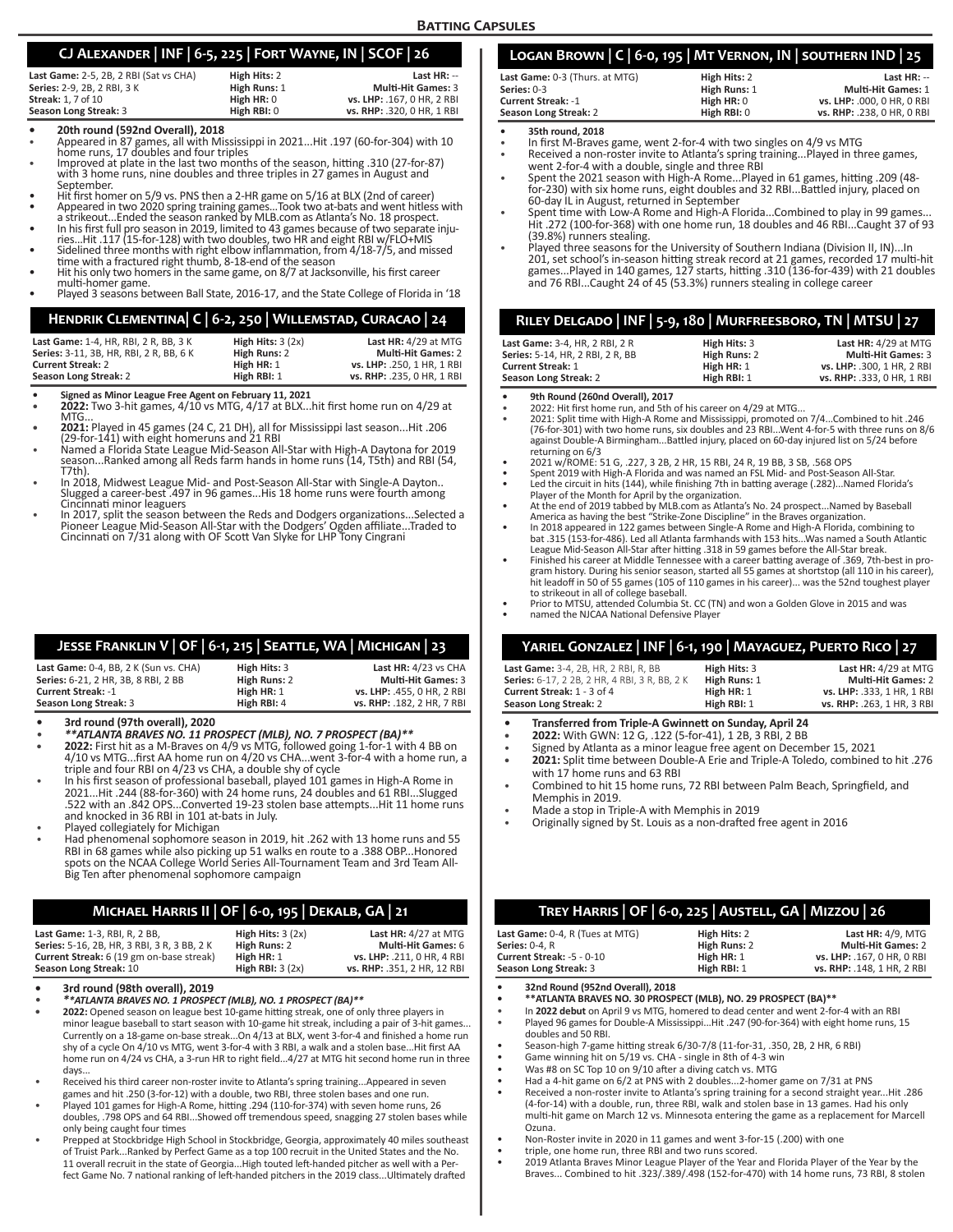# **Batting Capsules**

# **CJ Alexander | INF | 6-5, 225 | Fort Wayne, IN | SCOF | 26**

| High Hits: 2 | Last $HR: -$               |
|--------------|----------------------------|
| High Runs: 1 | <b>Multi-Hit Games: 3</b>  |
| High HR: 0   | vs. LHP: .167. 0 HR. 2 RBI |
| High RBI: 0  | vs. RHP: .320, 0 HR, 1 RBI |
|              |                            |

- 
- **• 20th round (592nd Overall), 2018** Appeared in 87 games, all with Mississippi in 2021...Hit .197 (60-for-304) with 10
- Improved at plate in the last two months of the season, hitting .310 (27-for-87) with 3 home runs, nine doubles and three triples in 27 games in August and
- 
- Hit first homer on 5/9 vs. PNS then a 2-HR game on 5/16 at BLX (2nd of career)<br>Appeared in two 2020 spring training games...Took two at-bats and went hitless with<br>a strikeout...Ended the season ranked by MLB.com as Atlanta
- a since the state and set of the season in 2019, limited to 43 games because of two separate inju-<br>ties...Hit .117 (15-for-128) with two doubles, two HR and eight RBI w/FLO+MIS<br>Sidelined three months with right elbow infla
- 
- Hit his only two homers in the same game, on 8/7 at Jacksonville, his first career multi-homer game.
- male homer game.<br>Played 3 seasons between Ball State, 2016-17, and the State College of Florida in '18

# **Hendrik Clementina| C | 6-2, 250 | Willemstad, Curacao | 24**

| Last Game: 1-4, HR, RBI, 2 R, BB, 3 K   | High Hits: $3(2x)$ | Last HR: 4/29 at MTG       |
|-----------------------------------------|--------------------|----------------------------|
| Series: 3-11, 3B, HR, RBI, 2 R, BB, 6 K | High Runs: 2       | <b>Multi-Hit Games: 2</b>  |
| Current Streak: 2                       | High HR: 1         | vs. LHP: .250. 1 HR. 1 RBI |
| Season Long Streak: 2                   | High RBI: 1        | vs. RHP: .235. 0 HR. 1 RBI |

- 
- **• Signed as Minor League Free Agent on February 11, 2021 • 2022:** Two 3-hit games, 4/10 vs MTG, 4/17 at BLX...hit first home run on 4/29 at
- MTG...<br>**2021:** Played in 45 games (24 C, 21 DH), all for Mississippi last season...Hit .206 (29-for-141) with eight homeruns and 21 RBI
- season....Ranked a Florida State League Mid-Season All-Star with High-A Daytona for 2019<br>season...Ranked among all Reds farm hands in home runs (14, T5th) and RBI (54,<br>T7th).
- T7th). In 2018, Midwest League Mid- and Post-Season All-Star with Single-A Dayton.. Slugged a career-best .497 in 96 games...His 18 home runs were fourth among
- Cincinnati minor leaguers<br>In 2017, split the season between the Reds and Dodgers organizations...Selected a<br>Pioneer League Mid-Season All-Star with the Dodgers' Ogden affiliate...Traded to<br>Cincinnati on 7/31 along with OF

# **Jesse Franklin V | OF | 6-1, 215 | Seattle, WA | Michigan | 23**

| Last Game: 0-4, BB, 2 K (Sun vs. CHA)<br><b>Series:</b> 6-21. 2 HR. 3B. 8 RBI. 2 BB | High Hits: 3<br>High Runs: 2 | Last $HR: 4/23$ vs $CHA$<br><b>Multi-Hit Games: 3</b> |
|-------------------------------------------------------------------------------------|------------------------------|-------------------------------------------------------|
| Current Streak: -1                                                                  | High HR: 1                   | vs. LHP: .455. 0 HR. 2 RBI                            |
| Season Long Streak: 3                                                               | High RBI: 4                  | vs. RHP: .182. 2 HR. 7 RBI                            |

- 
- **• 3rd round (97th overall), 2020** *\*\*ATLANTA BRAVES NO. 11 PROSPECT (MLB), NO. 7 PROSPECT (BA)\*\**
- **• 2022:** First hit as a M-Braves on 4/9 vs MTG, followed going 1-for-1 with 4 BB on 4/10 vs MTG...first AA home run on 4/20 vs CHA...went 3-for-4 with a home run, a triple and four RBI on 4/23 vs CHA, a double shy of cycle
- In his first season of professional baseball, played 101 games in High-A Rome in 2021...Hit .244 (88-for-360) with 24 home runs, 24 doubles and 61 RBI...Slugged .522 with an .842 OPS...Converted 19-23 stolen base attempts...Hit 11 home runs and knocked in 36 RBI in 101 at-bats in July.
- Played collegiately for Michigan
- I Had phenomenal sophomore season in 2019, hit .262 with 13 home runs and 55<br>RBI in 68 games while also picking up 51 walks en route to a .388 OBP...Honored<br>spots on the NCAA College World Series All-Tournament Team and 3r Big Ten after phenomenal sophomore campaign

# **Michael Harris II | OF | 6-0, 195 | Dekalb, GA | 21**

| Last Game: 1-3, RBI, R, 2 BB.                      | High Hits: $3(2x)$ | Last $HR: 4/27$ at MTG      |
|----------------------------------------------------|--------------------|-----------------------------|
| <b>Series:</b> 5-16, 2B, HR, 3 RBI, 3 R, 3 BB, 2 K | High Runs: 2       | <b>Multi-Hit Games: 6</b>   |
| Current Streak: 6 (19 gm on-base streak)           | High HR: 1         | vs. LHP: .211. 0 HR. 4 RBI  |
| Season Long Streak: 10                             | High RBI: $3(2x)$  | vs. RHP: .351, 2 HR, 12 RBI |

- 
- **• 3rd round (98th overall), 2019** *\*\*ATLANTA BRAVES NO. 1 PROSPECT (MLB), NO. 1 PROSPECT (BA)\*\**
- **• 2022:** Opened season on league best 10-game hitting streak, one of only three players in minor league baseball to start season with 10-game hit streak, including a pair of 3-hit games... Currently on a 18-game on-base streak...On 4/13 at BLX, went 3-for-4 and finished a home run shy of a cycle On 4/10 vs MTG, went 3-for-4 with 3 RBI, a walk and a stolen base...Hit first AA home run on 4/24 vs CHA, a 3-run HR to right field...4/27 at MTG hit second home run in three days...
- Received his third career non-roster invite to Atlanta's spring training...Appeared in seven games and hit .250 (3-for-12) with a double, two RBI, three stolen bases and one run. • Played 101 games for High-A Rome, hitting .294 (110-for-374) with seven home runs, 26
- doubles, .798 OPS and 64 RBI...Showed off tremendous speed, snagging 27 stolen bases while only being caught four times
- Prepped at Stockbridge High School in Stockbridge, Georgia, approximately 40 miles southeast of Truist Park...Ranked by Perfect Game as a top 100 recruit in the United States and the No. 11 overall recruit in the state of Georgia...High touted left-handed pitcher as well with a Per-fect Game No. 7 national ranking of left-handed pitchers in the 2019 class...Ultimately drafted

| LOGAN BROWN   C   6-0, 195   MT VERNON, IN   SOUTHERN IND   25 |               |                            |
|----------------------------------------------------------------|---------------|----------------------------|
| Last Game: 0-3 (Thurs. at MTG)                                 | High Hits: 2  | Last $HR: -$               |
| Series: 0-3                                                    | High Runs: 1  | <b>Multi-Hit Games: 1</b>  |
| <b>Current Streak: -1</b>                                      | High HR: 0    | vs. LHP: .000. 0 HR. 0 RBI |
| Season Long Streak: 2                                          | High $RBI: 0$ | vs. RHP: .238, 0 HR, 0 RBI |

**• 35th round, 2018**

- In first M-Braves game, went 2-for-4 with two singles on 4/9 vs MTG<br>• Received a non-roster invite to Atlanta's soring training Played in th
- Received a non-roster invite to Atlanta's spring training...Played in three games,
- went 2-for-4 with a double, single and three RBI Spent the 2021 season with High-A Rome...Played in 61 games, hitting .209 (48 for-230) with six home runs, eight doubles and 32 RBI...Battled injury, placed on 60-day IL in August, returned in September
- Spent time with Low-A Rome and High-A Florida...Combined to play in 99 games. Hit .272 (100-for-368) with one home run, 18 doubles and 46 RBI...Caught 37 of 93 (39.8%) runners stealing.
- Played three seasons for the University of Southern Indiana (Division II, IN)...In<br>201, set school's in-season hitting streak record at 21 games, recorded 17 multi-hit<br>games...Played in 140 games, 127 starts, hitting .310 and 76 RBI...Caught 24 of 45 (53.3%) runners stealing in college career

# **Riley Delgado | INF | 5-9, 180 | Murfreesboro, TN | MTSU | 27**

| Last Game: 3-4, HR, 2 RBI, 2 R   | High Hits: 3 | Last $HR: 4/29$ at MTG     |
|----------------------------------|--------------|----------------------------|
| Series: 5-14. HR. 2 RBI. 2 R. BB | High Runs: 2 | <b>Multi-Hit Games: 3</b>  |
| <b>Current Streak: 1</b>         | High HR: 1   | vs. LHP: .300, 1 HR, 2 RBI |
| Season Long Streak: 2            | High RBI: 1  | vs. RHP: .333, 0 HR, 1 RBI |

- 
- **9th Round (260nd Overall), 2017**<br>• 2022: Hit first home run, and 5th of his career on 4/29 at MTG...<br>• 2021: Split time with High-A Rome and Mississippi, promoted on 7/4...Combined to hit .246<br>(76-for-301) with two home r against Double-A Birmingham...Battled injury, placed on 60-day injured list on 5/24 before
- 
- 2021 w/ROME: 51 G, .227, 3 2B, 2 HR, 15 RBI, 24 R, 19 BB, 3 SB, .568 OPS<br>Spent 2019 with High-A Florida and was named an FSL Mid- and Post-Season All-Star.<br>Led the circuit in hits (144), while finishing 7th in batting aver
- Player of the Month for April by the organization. At the end of 2019 tabbed by MLB.com as Atlanta's No. 24 prospect...Named by Baseball
- America as having the best "Strike-Zone Discipline" in the Braves organization.<br>In 2018 appeared in 122 games between Single-A Rome and High-A Florida, combining to<br>bat .315 (153-for-486). Led all Atlanta farmhands with 15
- 
- League Mid-Season All-Star after hitting .318 in 59 games before the All-Star break.<br>Finished his career at Middle Tennessee with a career batting average of .369, 7th-best in program history. During his senior season, sta
- Prior to MTSU, attended Columbia St. CC (TN) and won a Golden Glove in 2015 and was • named the NJCAA National Defensive Player

# **Yariel Gonzalez | INF | 6-1, 190 | Mayaguez, Puerto Rico | 27**

| <b>Last Game:</b> 3-4, 2B, HR, 2 RBI, R, BB          | High Hits: 3 | Last $HR: 4/29$ at MTG     |
|------------------------------------------------------|--------------|----------------------------|
| <b>Series:</b> 6-17, 2 2B, 2 HR, 4 RBI, 3 R, BB, 2 K | High Runs: 1 | <b>Multi-Hit Games: 2</b>  |
| Current Streak: 1 - 3 of 4                           | High $HR: 1$ | vs. LHP: .333. 1 HR. 1 RBI |
| Season Long Streak: 2                                | High RBI: 1  | vs. RHP: .263. 1 HR. 3 RBI |

- **• Transferred from Triple-A Gwinnett on Sunday, April 24**
- **• 2022:** With GWN: 12 G, .122 (5-for-41), 1 2B, 3 RBI, 2 BB
- Signed by Atlanta as a minor league free agent on December 15, 2021
- **• 2021:** Split time between Double-A Erie and Triple-A Toledo, combined to hit .276 with 17 home runs and 63 RBI
- Combined to hit 15 home runs, 72 RBI between Palm Beach, Springfield, and Memphis in 2019.
- Made a stop in Triple-A with Memphis in 2019
- Originally signed by St. Louis as a non-drafted free agent in 2016

| TREY HARRIS   OF   6-0, 225   AUSTELL, GA   MIZZOU   26        |              |                            |  |  |  |
|----------------------------------------------------------------|--------------|----------------------------|--|--|--|
| Last Game: 0-4, R (Tues at MTG)                                | High Hits: 2 | <b>Last HR: 4/9, MTG</b>   |  |  |  |
| <b>Series: 0-4. R</b>                                          | High Runs: 2 | <b>Multi-Hit Games: 2</b>  |  |  |  |
| Current Streak: -5 - 0-10                                      | High HR: 1   | vs. LHP: .167. 0 HR. 0 RBI |  |  |  |
| High RBI: 1<br>vs. RHP: .148. 1 HR. 2 RBI                      |              |                            |  |  |  |
| Season Long Streak: 3<br>__ _ _ _ _ _ _ _<br>$\cdots$ $\cdots$ |              |                            |  |  |  |

**• 32nd Round (952nd Overall), 2018 • \*\*ATLANTA BRAVES NO. 30 PROSPECT (MLB), NO. 29 PROSPECT (BA)\*\***

- In **2022 debut** on April 9 vs MTG, homered to dead center and went 2-for-4 with an RBI
- Played 96 games for Double-A Mississippi...Hit .247 (90-for-364) with eight home runs, 15 doubles and 50 RBI.
- Season-high 7-game hitting streak 6/30-7/8 (11-for-31, .350, 2B, 2 HR, 6 RBI)
- Game winning hit on 5/19 vs. CHA single in 8th of 4-3 win
- 
- Was #8 on SC Top 10 on 9/10 after a diving catch vs. MTG Had a 4-hit game on 6/2 at PNS with 2 doubles...2-homer game on 7/31 at PNS
- Received a non-roster invite to Atlanta's spring training for a second straight year...Hit .286 (4-for-14) with a double, run, three RBI, walk and stolen base in 13 games. Had his only multi-hit game on March 12 vs. Minnesota entering the game as a replacement for Marcell Ozuna.
- 
- 
- Non-Roster invite in 2020 in 11 games and went 3-for-15 (.200) with one triple, one home run, three RBI and two runs scored. 2019 Atlanta Braves Minor League Player of the Year and Florida Player of the Year by the Braves... Combined to hit .323/.389/.498 (152-for-470) with 14 home runs, 73 RBI, 8 stolen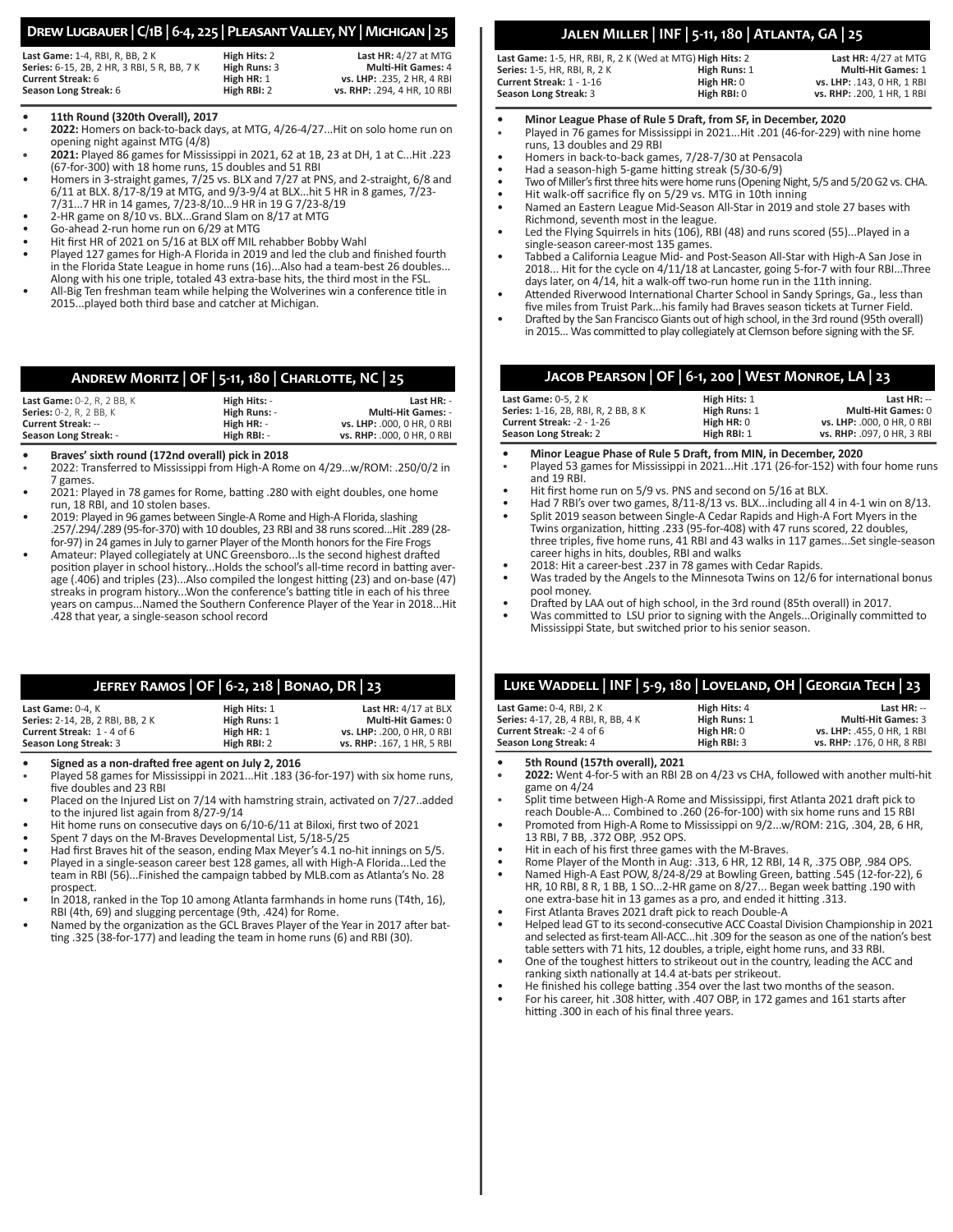# **Drew Lugbauer | C/1B | 6-4, 225 | Pleasant Valley, NY | Michigan | 25**

| Last Game: 1-4, RBI, R, BB, 2 K             |  |  |  |  |
|---------------------------------------------|--|--|--|--|
| Series: 6-15, 2B, 2 HR, 3 RBI, 5 R, BB, 7 K |  |  |  |  |
| <b>Current Streak: 6</b>                    |  |  |  |  |
| Season Long Streak: 6                       |  |  |  |  |

**Last HR:** 4/27 at MTG<br> **High Runs:** 3 **Multi-Hit Games:** 4 **Series:** 6-15, 2B, 2 HR, 3 RBI, 5 R, BB, 7 K **High Runs:** 3 **Multi-Hit Games:** 4 **High HR: 1 vs. LHP:** .235, 2 HR, 4 RBI<br> **High RBI:** 2 **vs. RHP:** .294, 4 HR, 10 RBI

**Season Long Streak:** 6 **High RBI:** 2 **vs. RHP:** .294, 4 HR, 10 RBI

**• 11th Round (320th Overall), 2017**

- **• 2022:** Homers on back-to-back days, at MTG, 4/26-4/27...Hit on solo home run on opening night against MTG (4/8)
- **• 2021:** Played 86 games for Mississippi in 2021, 62 at 1B, 23 at DH, 1 at C...Hit .223 (67-for-300) with 18 home runs, 15 doubles and 51 RBI
- Homers in 3-straight games, 7/25 vs. BLX and 7/27 at PNS, and 2-straight, 6/8 and 6/11 at BLX. 8/17-8/19 at MTG, and 9/3-9/4 at BLX...hit 5 HR in 8 games, 7/23- 7/31...7 HR in 14 games, 7/23-8/10...9 HR in 19 G 7/23-8/19
- 2-HR game on 8/10 vs. BLX...Grand Slam on 8/17 at MTG
- Go-ahead 2-run home run on 6/29 at MTG
- Hit first HR of 2021 on 5/16 at BLX off MIL rehabber Bobby Wahl
- Played 127 games for High-A Florida in 2019 and led the club and finished fourth in the Florida State League in home runs (16)...Also had a team-best 26 doubles... Along with his one triple, totaled 43 extra-base hits, the third most in the FSL.
- All-Big Ten freshman team while helping the Wolverines win a conference title in 2015...played both third base and catcher at Michigan.

|                                   | ANDREW MORITZ   OF   5-11, 180   CHARLOTTE, NC   25 |            |
|-----------------------------------|-----------------------------------------------------|------------|
| <b>Last Game:</b> 0-2, R, 2 BB, K | High Hits: -                                        | Last HR: - |

|                                |              | -----------                |
|--------------------------------|--------------|----------------------------|
| <b>Series:</b> 0-2, R, 2 BB, K | High Runs: - | <b>Multi-Hit Games: -</b>  |
| <b>Current Streak: --</b>      | High HR: -   | vs. LHP: .000. 0 HR. 0 RBI |
| Season Long Streak: -          | High RBI: -  | vs. RHP: .000. 0 HR. 0 RBI |
|                                |              |                            |

**• Braves' sixth round (172nd overall) pick in 2018**

- 2022: Transferred to Mississippi from High-A Rome on 4/29...w/ROM: .250/0/2 in 7 games.
- 2021: Played in 78 games for Rome, batting .280 with eight doubles, one home run, 18 RBI, and 10 stolen bases.
- 2019: Played in 96 games between Single-A Rome and High-A Florida, slashing .257/.294/.289 (95-for-370) with 10 doubles, 23 RBI and 38 runs scored...Hit .289 (28 for-97) in 24 games in July to garner Player of the Month honors for the Fire Frogs
- Amateur: Played collegiately at UNC Greensboro...Is the second highest drafted position player in school history...Holds the school's all-time record in batting average (.406) and triples (23)...Also compiled the longest hitting (23) and on-base (47) streaks in program history...Won the conference's batting title in each of his three years on campus...Named the Southern Conference Player of the Year in 2018...Hit .428 that year, a single-season school record

# **Jefrey Ramos | OF | 6-2, 218 | Bonao, DR | 23**

| Last Game: 0-4. K                | High Hits: 1 | Last HR: 4/17 at BLX       |
|----------------------------------|--------------|----------------------------|
| Series: 2-14, 2B, 2 RBI, BB, 2 K | High Runs: 1 | <b>Multi-Hit Games: 0</b>  |
| Current Streak: 1 - 4 of 6       | High HR: 1   | vs. LHP: .200. 0 HR. 0 RBI |
| Season Long Streak: 3            | High RBI: 2  | vs. RHP: .167. 1 HR. 5 RBI |
|                                  |              |                            |

- **• Signed as a non-drafted free agent on July 2, 2016** Played 58 games for Mississippi in 2021...Hit .183 (36-for-197) with six home runs, five doubles and 23 RBI
- Placed on the Injured List on 7/14 with hamstring strain, activated on 7/27..added to the injured list again from 8/27-9/14
- Hit home runs on consecutive days on 6/10-6/11 at Biloxi, first two of 2021
- Spent 7 days on the M-Braves Developmental List, 5/18-5/25
- Had first Braves hit of the season, ending Max Meyer's 4.1 no-hit innings on 5/5.
- Played in a single-season career best 128 games, all with High-A Florida...Led the team in RBI (56)...Finished the campaign tabbed by MLB.com as Atlanta's No. 28 prospect.
- In 2018, ranked in the Top 10 among Atlanta farmhands in home runs (T4th, 16), RBI (4th, 69) and slugging percentage (9th, .424) for Rome.
- Named by the organization as the GCL Braves Player of the Year in 2017 after batting .325 (38-for-177) and leading the team in home runs (6) and RBI (30).

# **Jalen Miller | INF | 5-11, 180 | Atlanta, GA | 25**

| Last Game: 1-5, HR, RBI, R, 2 K (Wed at MTG) High Hits: 2 |               | <b>Last HR: <math>4/27</math> at MTG</b> |
|-----------------------------------------------------------|---------------|------------------------------------------|
| Series: 1-5. HR. RBI. R. 2 K                              | High Runs: 1  | <b>Multi-Hit Games: 1</b>                |
| Current Streak: 1 - 1-16                                  | High $HR: 0$  | vs. LHP: .143. 0 HR. 1 RBI               |
| Season Long Streak: 3                                     | High $RBI: 0$ | vs. RHP: .200, 1 HR, 1 RBI               |
|                                                           |               |                                          |

- **• Minor League Phase of Rule 5 Draft, from SF, in December, 2020**
- Played in 76 games for Mississippi in 2021...Hit .201 (46-for-229) with nine home runs, 13 doubles and 29 RBI
- Homers in back-to-back games,  $7/28-7/30$  at Pensacola<br>• Had a season-bigh 5-game bitting streak  $(5/30-6/9)$
- Had a season-high 5-game hitting streak (5/30-6/9)
- Two of Miller's first three hits were home runs (Opening Night,  $5/5$  and  $5/20$  G2 vs. CHA.<br>• Hit walk-off sacrifice fly on  $5/29$  vs. MTG in 10th inning
- Hit walk-off sacrifice fly on 5/29 vs. MTG in 10th inning
- Named an Eastern League Mid-Season All-Star in 2019 and stole 27 bases with Richmond, seventh most in the league.
- Led the Flying Squirrels in hits (106), RBI (48) and runs scored (55)...Played in a single-season career-most 135 games.
- Tabbed a California League Mid- and Post-Season All-Star with High-A San Jose in 2018... Hit for the cycle on 4/11/18 at Lancaster, going 5-for-7 with four RBI...Three days later, on 4/14, hit a walk-off two-run home run in the 11th inning.
- Attended Riverwood International Charter School in Sandy Springs, Ga., less than five miles from Truist Park...his family had Braves season tickets at Turner Field.
- Drafted by the San Francisco Giants out of high school, in the 3rd round (95th overall) in 2015... Was committed to play collegiately at Clemson before signing with the SF.

# **Jacob Pearson | OF | 6-1, 200 | West Monroe, LA | 23**

|                                            | . .          |                            |
|--------------------------------------------|--------------|----------------------------|
| <b>Last Game: 0-5, 2 K</b>                 | High Hits: 1 | Last $HR: -$               |
| <b>Series: 1-16, 2B, RBI, R, 2 BB, 8 K</b> | High Runs: 1 | <b>Multi-Hit Games: 0</b>  |
| Current Streak: -2 - 1-26                  | High HR: 0   | vs. LHP: .000. 0 HR. 0 RBI |
| Season Long Streak: 2                      | High RBI: 1  | vs. RHP: .097. 0 HR. 3 RBI |

- **• Minor League Phase of Rule 5 Draft, from MIN, in December, 2020**
- Played 53 games for Mississippi in 2021...Hit .171 (26-for-152) with four home runs and 19 RBI.
- Hit first home run on  $5/9$  vs. PNS and second on  $5/16$  at BLX.
- Had 7 RBI's over two games, 8/11-8/13 vs. BLX...including all 4 in 4-1 win on 8/13. • Split 2019 season between Single-A Cedar Rapids and High-A Fort Myers in the
- Twins organization, hitting .233 (95-for-408) with 47 runs scored, 22 doubles, three triples, five home runs, 41 RBI and 43 walks in 117 games...Set single-season career highs in hits, doubles, RBI and walks
- 2018: Hit a career-best .237 in 78 games with Cedar Rapids.
- Was traded by the Angels to the Minnesota Twins on 12/6 for international bonus pool money.
- Drafted by LAA out of high school, in the 3rd round (85th overall) in 2017.
- Was committed to LSU prior to signing with the Angels...Originally committed to Mississippi State, but switched prior to his senior season.

# **Luke Waddell | INF | 5-9, 180 | Loveland, OH | Georgia Tech | 23**

| <b>Last Game:</b> 0-4. RBI. 2 K     | High Hits: 4 | Last $HR: -$               |
|-------------------------------------|--------------|----------------------------|
| Series: 4-17, 2B, 4 RBI, R, BB, 4 K | High Runs: 1 | <b>Multi-Hit Games: 3</b>  |
| Current Streak: -24 of 6            | High HR: 0   | vs. LHP: .455. 0 HR. 1 RBI |
| Season Long Streak: 4               | High RBI: 3  | vs. RHP: .176. 0 HR. 8 RBI |

- **• 5th Round (157th overall), 2021**
- **• 2022:** Went 4-for-5 with an RBI 2B on 4/23 vs CHA, followed with another multi-hit game on 4/24
- Split time between High-A Rome and Mississippi, first Atlanta 2021 draft pick to reach Double-A... Combined to .260 (26-for-100) with six home runs and 15 RBI
- Promoted from High-A Rome to Mississippi on 9/2...w/ROM: 21G, .304, 2B, 6 HR, 13 RBI, 7 BB, .372 OBP, .952 OPS.
- Hit in each of his first three games with the M-Braves.
- Rome Player of the Month in Aug: .313, 6 HR, 12 RBI, 14 R, .375 OBP, .984 OPS. • Named High-A East POW, 8/24-8/29 at Bowling Green, batting .545 (12-for-22), 6 HR, 10 RBI, 8 R, 1 BB, 1 SO...2-HR game on 8/27... Began week batting .190 with one extra-base hit in 13 games as a pro, and ended it hitting .313.
- First Atlanta Braves 2021 draft pick to reach Double-A
- Helped lead GT to its second-consecutive ACC Coastal Division Championship in 2021 and selected as first-team All-ACC...hit .309 for the season as one of the nation's best table setters with 71 hits, 12 doubles, a triple, eight home runs, and 33 RBI.
- One of the toughest hitters to strikeout out in the country, leading the ACC and ranking sixth nationally at 14.4 at-bats per strikeout.
- He finished his college batting .354 over the last two months of the season.
- For his career, hit .308 hitter, with .407 OBP, in 172 games and 161 starts after hitting .300 in each of his final three years.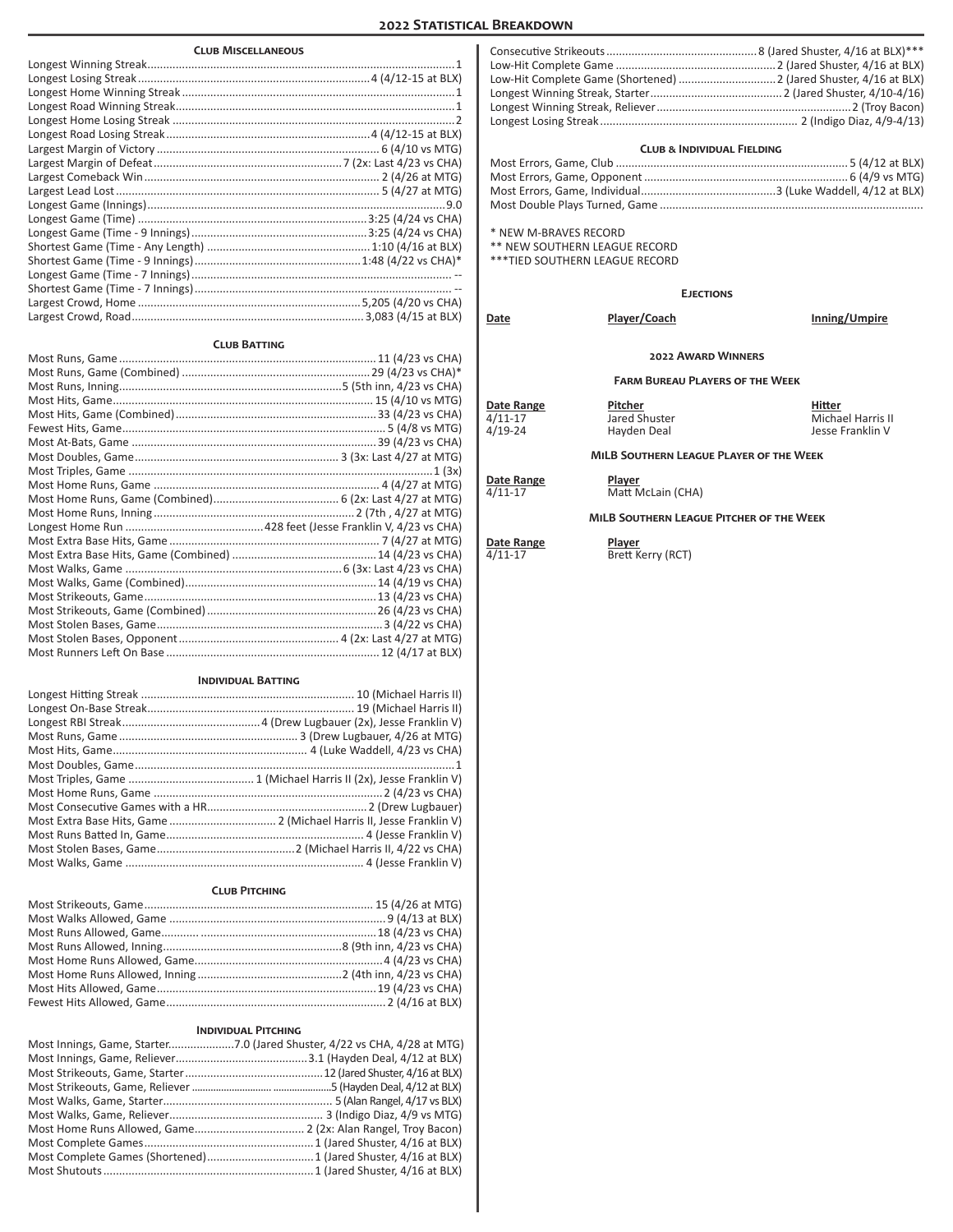# **2022 Statistical Breakdown**

# **Club Miscellaneous**

#### **Club Batting**

| <u>CLUB DAIINT</u> |  |  |  |
|--------------------|--|--|--|
|                    |  |  |  |
|                    |  |  |  |
|                    |  |  |  |
|                    |  |  |  |
|                    |  |  |  |
|                    |  |  |  |
|                    |  |  |  |
|                    |  |  |  |
|                    |  |  |  |
|                    |  |  |  |
|                    |  |  |  |
|                    |  |  |  |
|                    |  |  |  |
|                    |  |  |  |
|                    |  |  |  |
|                    |  |  |  |
|                    |  |  |  |
|                    |  |  |  |
|                    |  |  |  |
|                    |  |  |  |
|                    |  |  |  |
|                    |  |  |  |

#### **Individual Batting**

| Most Extra Base Hits, Game  2 (Michael Harris II, Jesse Franklin V) |
|---------------------------------------------------------------------|
|                                                                     |
|                                                                     |
|                                                                     |

# **Club Pitching**

# **Individual Pitching**

### **Club & Individual Fielding**

\* NEW M-BRAVES RECORD

\*\* NEW SOUTHERN LEAGUE RECORD

\*\*\*TIED SOUTHERN LEAGUE RECORD

**Ejections**

| Date                                           | Player/Coach                            | Inning/Umpire                                   |
|------------------------------------------------|-----------------------------------------|-------------------------------------------------|
|                                                | <b>2022 AWARD WINNERS</b>               |                                                 |
| <b>FARM BURFAU PLAYERS OF THE WEEK</b>         |                                         |                                                 |
| Date Range<br>$4/11-17$<br>$4/19 - 24$         | Pitcher<br>Jared Shuster<br>Hayden Deal | Hitter<br>Michael Harris II<br>Jesse Franklin V |
| <b>MILB SOUTHERN LEAGUE PLAYER OF THE WEEK</b> |                                         |                                                 |
| Date Range<br>$4/11 - 17$                      | Player<br>Matt McLain (CHA)             |                                                 |

# **MiLB Southern League Pitcher of the Week**

# **Date Range**<br>4/11-17

Player<br>Brett Kerry (RCT)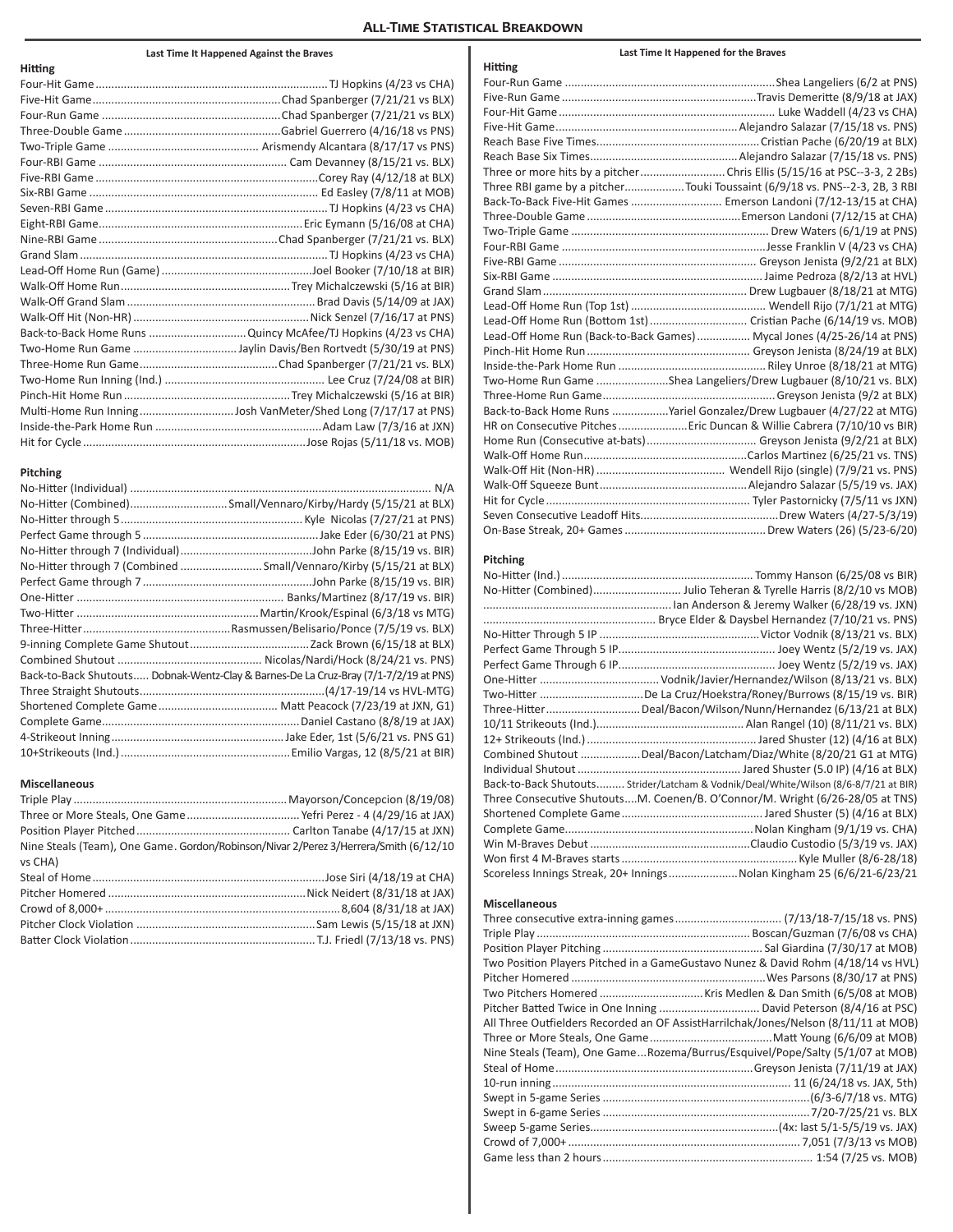# **All-Time Statistical Breakdown**

# **Last Time It Happened Against the Braves**

| <b>Hitting</b> |                                                               |
|----------------|---------------------------------------------------------------|
|                |                                                               |
|                |                                                               |
|                |                                                               |
|                |                                                               |
|                |                                                               |
|                |                                                               |
|                |                                                               |
|                |                                                               |
|                |                                                               |
|                |                                                               |
|                |                                                               |
|                |                                                               |
|                |                                                               |
|                |                                                               |
|                |                                                               |
|                |                                                               |
|                | Back-to-Back Home Runs Quincy McAfee/TJ Hopkins (4/23 vs CHA) |
|                |                                                               |
|                |                                                               |
|                |                                                               |
|                |                                                               |
|                |                                                               |
|                |                                                               |
|                |                                                               |

#### **Pitching**

| No-Hitter (Combined)Small/Vennaro/Kirby/Hardy (5/15/21 at BLX)                       |
|--------------------------------------------------------------------------------------|
|                                                                                      |
|                                                                                      |
|                                                                                      |
| No-Hitter through 7 (Combined  Small/Vennaro/Kirby (5/15/21 at BLX)                  |
|                                                                                      |
|                                                                                      |
|                                                                                      |
|                                                                                      |
|                                                                                      |
|                                                                                      |
| Back-to-Back Shutouts Dobnak-Wentz-Clay & Barnes-De La Cruz-Bray (7/1-7/2/19 at PNS) |
|                                                                                      |
|                                                                                      |
|                                                                                      |
|                                                                                      |
|                                                                                      |

# **Miscellaneous**

| Nine Steals (Team), One Game. Gordon/Robinson/Nivar 2/Perez 3/Herrera/Smith (6/12/10 |
|--------------------------------------------------------------------------------------|
|                                                                                      |
|                                                                                      |
|                                                                                      |
|                                                                                      |
|                                                                                      |
|                                                                                      |
|                                                                                      |

| Hitting |                                                                            |
|---------|----------------------------------------------------------------------------|
|         |                                                                            |
|         |                                                                            |
|         |                                                                            |
|         |                                                                            |
|         |                                                                            |
|         |                                                                            |
|         |                                                                            |
|         | Three RBI game by a pitcherTouki Toussaint (6/9/18 vs. PNS--2-3, 2B, 3 RBI |
|         | Back-To-Back Five-Hit Games  Emerson Landoni (7/12-13/15 at CHA)           |
|         |                                                                            |
|         |                                                                            |
|         |                                                                            |
|         |                                                                            |
|         |                                                                            |
|         |                                                                            |
|         |                                                                            |
|         | Lead-Off Home Run (Bottom 1st)  Cristian Pache (6/14/19 vs. MOB)           |
|         | Lead-Off Home Run (Back-to-Back Games)  Mycal Jones (4/25-26/14 at PNS)    |
|         |                                                                            |
|         |                                                                            |
|         | Two-Home Run Game Shea Langeliers/Drew Lugbauer (8/10/21 vs. BLX)          |
|         |                                                                            |
|         | Back-to-Back Home Runs Yariel Gonzalez/Drew Lugbauer (4/27/22 at MTG)      |
|         | HR on Consecutive Pitches  Eric Duncan & Willie Cabrera (7/10/10 vs BIR)   |
|         |                                                                            |
|         |                                                                            |
|         |                                                                            |
|         |                                                                            |
|         |                                                                            |
|         |                                                                            |
|         |                                                                            |

**Last Time It Happened for the Braves**

# **Pitching**

| No-Hitter (Ind.) ……………………………………………………… Tommy Hanson (6/25/08 vs BIR)                 |
|--------------------------------------------------------------------------------------|
|                                                                                      |
|                                                                                      |
|                                                                                      |
|                                                                                      |
|                                                                                      |
|                                                                                      |
|                                                                                      |
| Two-Hitter De La Cruz/Hoekstra/Roney/Burrows (8/15/19 vs. BIR)                       |
| Three-Hitter…………………………Deal/Bacon/Wilson/Nunn/Hernandez (6/13/21 at BLX)              |
|                                                                                      |
|                                                                                      |
| Combined Shutout Deal/Bacon/Latcham/Diaz/White (8/20/21 G1 at MTG)                   |
|                                                                                      |
| Back-to-Back Shutouts Strider/Latcham & Vodnik/Deal/White/Wilson (8/6-8/7/21 at BIR) |
| Three Consecutive ShutoutsM. Coenen/B. O'Connor/M. Wright (6/26-28/05 at TNS)        |
|                                                                                      |
|                                                                                      |
|                                                                                      |
|                                                                                      |
| Scoreless Innings Streak, 20+ InningsNolan Kingham 25 (6/6/21-6/23/21                |
|                                                                                      |

# **Miscellaneous**

| Two Position Players Pitched in a GameGustavo Nunez & David Rohm (4/18/14 vs HVL)   |
|-------------------------------------------------------------------------------------|
|                                                                                     |
|                                                                                     |
| Pitcher Batted Twice in One Inning  David Peterson (8/4/16 at PSC)                  |
| All Three Outfielders Recorded an OF AssistHarrilchak/Jones/Nelson (8/11/11 at MOB) |
|                                                                                     |
| Nine Steals (Team), One GameRozema/Burrus/Esquivel/Pope/Salty (5/1/07 at MOB)       |
|                                                                                     |
|                                                                                     |
|                                                                                     |
|                                                                                     |
|                                                                                     |
|                                                                                     |
|                                                                                     |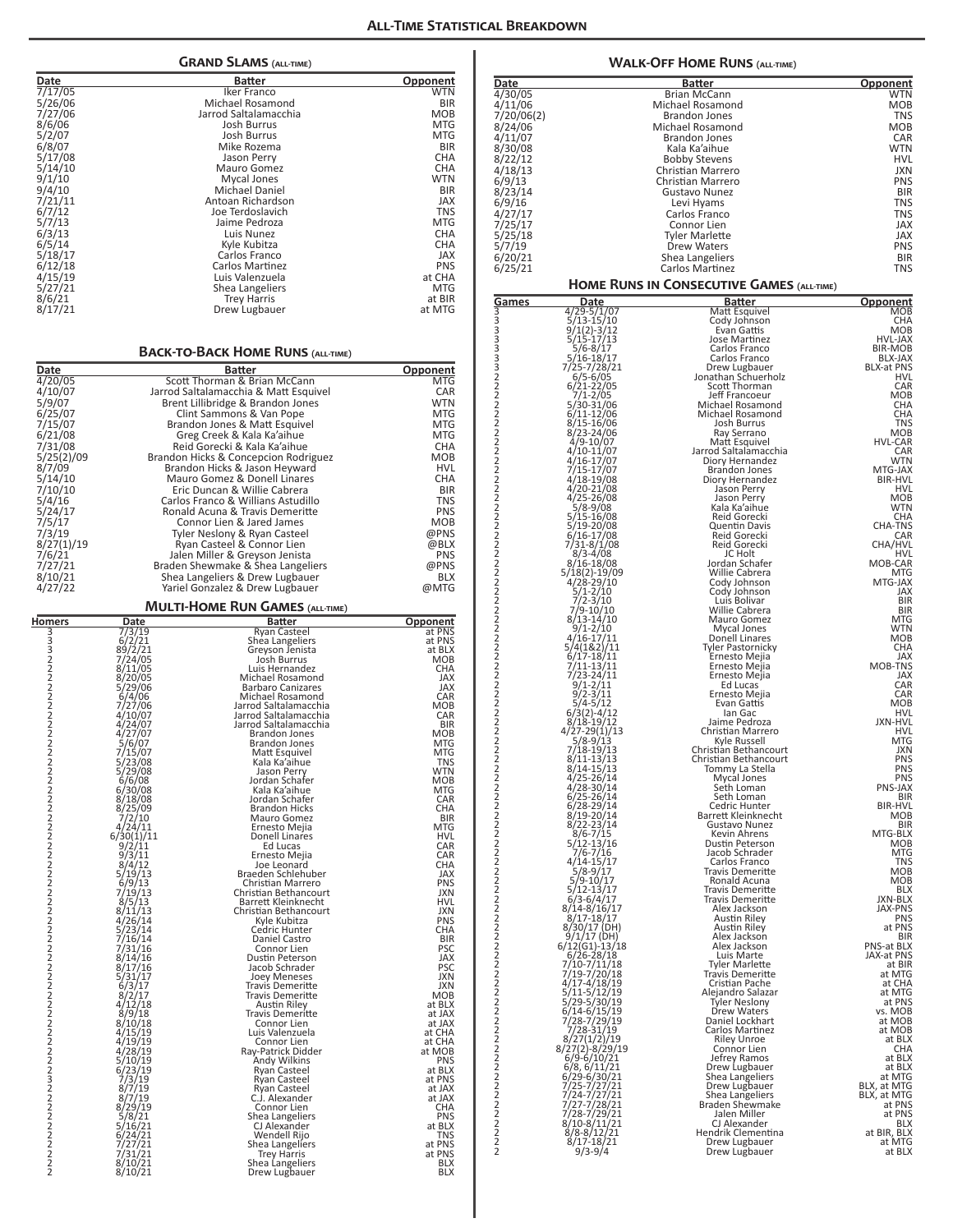| Date                  |                                                                                                         | <b>GRAND SLAMS (ALL-TIME)</b><br>Batter                              | Opponent                 |
|-----------------------|---------------------------------------------------------------------------------------------------------|----------------------------------------------------------------------|--------------------------|
| 7/17/05               |                                                                                                         | Iker Franco                                                          | <b>WTN</b>               |
| 5/26/06<br>7/27/06    |                                                                                                         | Michael Rosamond<br>Jarrod Saltalamacchia                            | BIR<br>MOB               |
| 8/6/06                |                                                                                                         | Josh Burrus                                                          | <b>MTG</b>               |
| 5/2/07                |                                                                                                         | <b>Josh Burrus</b>                                                   | <b>MTG</b>               |
| 6/8/07<br>5/17/08     |                                                                                                         | Mike Rozema<br>Jason Perry                                           | <b>BIR</b><br><b>CHA</b> |
| 5/14/10               |                                                                                                         | Mauro Gomez                                                          | <b>CHA</b>               |
| 9/1/10<br>9/4/10      |                                                                                                         | Mycal Jones<br>Michael Daniel                                        | <b>WTN</b><br><b>BIR</b> |
| 7/21/11               |                                                                                                         | Antoan Richardson                                                    | <b>JAX</b>               |
| 6/7/12<br>5/7/13      |                                                                                                         | Joe Terdoslavich<br>Jaime Pedroza                                    | <b>TNS</b><br><b>MTG</b> |
| 6/3/13                |                                                                                                         | Luis Nunez                                                           | <b>CHA</b>               |
| 6/5/14                |                                                                                                         | Kyle Kubitza<br>Carlos Franco                                        | <b>CHA</b><br><b>JAX</b> |
| 5/18/17<br>6/12/18    |                                                                                                         | Carlos Martinez                                                      | <b>PNS</b>               |
| 4/15/19               |                                                                                                         | Luis Valenzuela                                                      | at CHA                   |
| 5/27/21<br>8/6/21     |                                                                                                         | Shea Langeliers<br><b>Trey Harris</b>                                | MTG<br>at BIR            |
| 8/17/21               |                                                                                                         | Drew Lugbauer                                                        | at MTG                   |
|                       |                                                                                                         | <b>BACK-TO-BACK HOME RUNS (ALL-TIME)</b>                             |                          |
| Date                  |                                                                                                         | <b>Batter</b><br>Scott Thorman & Brian McCann                        | Opponent                 |
| 4/20/05<br>4/10/07    |                                                                                                         | Jarrod Saltalamacchia & Matt Esquivel                                | MTG<br>CAR               |
| 5/9/07                |                                                                                                         | Brent Lillibridge & Brandon Jones                                    | <b>WTN</b>               |
| 6/25/07<br>7/15/07    |                                                                                                         | Clint Sammons & Van Pope<br>Brandon Jones & Matt Esquivel            | <b>MTG</b><br><b>MTG</b> |
| 6/21/08               |                                                                                                         | Greg Creek & Kala Ka'aihue                                           | <b>MTG</b>               |
| 7/31/08<br>5/25(2)/09 |                                                                                                         | Reid Gorecki & Kala Ka'aihue<br>Brandon Hicks & Concepcion Rodriguez | CHA<br><b>MOB</b>        |
| 8/7/09                |                                                                                                         | Brandon Hicks & Jason Heyward                                        | <b>HVL</b>               |
| 5/14/10               |                                                                                                         | Mauro Gomez & Donell Linares<br>Eric Duncan & Willie Cabrera         | <b>CHA</b><br><b>BIR</b> |
| 7/10/10<br>5/4/16     |                                                                                                         | Carlos Franco & Willians Astudillo                                   | <b>TNS</b>               |
| 5/24/17               |                                                                                                         | Ronald Acuna & Travis Demeritte                                      | <b>PNS</b>               |
| 7/5/17<br>7/3/19      |                                                                                                         | Connor Lien & Jared James<br>Tyler Neslony & Ryan Casteel            | <b>MOB</b><br>@PNS       |
| 8/27(1)/19            |                                                                                                         | Ryan Casteel & Connor Lien                                           | @BLX                     |
| 7/6/21                |                                                                                                         | Jalen Miller & Greyson Jenista                                       | <b>PNS</b>               |
| 7/27/21<br>8/10/21    |                                                                                                         | Braden Shewmake & Shea Langeliers<br>Shea Langeliers & Drew Lugbauer | @PNS<br><b>BLX</b>       |
| 4/27/22               |                                                                                                         | Yariel Gonzalez & Drew Lugbauer                                      | @MTG                     |
| <b>Homers</b>         | <b>Date</b>                                                                                             | <b>MULTI-HOME RUN GAMES (ALL-TIME)</b><br><b>Batter</b>              | Opponent                 |
| 3332222222            | $\begin{array}{r}\n 773/19 \\  6/2/21 \\  89/2/21 \\  7/24/05 \\  8/11/25\n\end{array}$                 | Ryan Casteel<br>Shea Langeliers                                      | at PNS<br>at PNS         |
|                       |                                                                                                         | Greyson Jenista<br>Josh Burrus                                       | at BLX<br>MOB            |
|                       | 8/11/05                                                                                                 | Luis Hernandez                                                       | <b>CHA</b>               |
|                       | 8/20/05                                                                                                 | Michael Rosamond<br><b>Barbaro Canizares</b>                         | JAX<br><b>JAX</b>        |
|                       | $\frac{5}{29}$ /06<br>6/4/06<br>7/27/06                                                                 | Michael Rosamond<br>Jarrod Saltalamacchia                            | CAR<br>MOB               |
|                       | 4/10/07                                                                                                 | Jarrod Saltalamacchia                                                | CAR                      |
| 2                     | 4/24/07<br>4/27/07                                                                                      | Jarrod Saltalamacchia<br>Brandon Jones                               | <b>BIR</b><br>мов        |
|                       | 5/6/07                                                                                                  | Brandon Jones                                                        | MTG<br>MTG               |
|                       | 7/15/07<br>5/23/08                                                                                      | Matt Esquivel<br>Kala Ka'aihue                                       | TNS                      |
|                       | 5/29/08<br>6/6/08                                                                                       | Jason Perry<br>Jordan Schafer                                        | WTN<br>MOB               |
|                       | 6/30/08<br>8/18/08                                                                                      | Kala Ka'aihue<br>Jordan Schafer                                      | <b>MTG</b><br>CAR        |
|                       |                                                                                                         | <b>Brandon Hicks</b>                                                 | <b>CHA</b>               |
|                       | $\frac{8}{25}/09$<br>7/2/10<br>4/24/11                                                                  | Mauro Gomez<br>Ernesto Mejia                                         | <b>BIR</b><br>MTG        |
|                       | 6/30(1)/11<br>9/2/11                                                                                    | Donell Linares<br>Ed Lucas                                           | HVL<br>CAR               |
|                       | $\frac{9}{3}/\frac{11}{12}$                                                                             | Ernesto Mejia                                                        | CAR                      |
|                       |                                                                                                         | Joe Leonard<br>Braeden Schlehuber                                    | CHA<br><b>JAX</b>        |
|                       | $\frac{1}{9}$ /13<br>$\frac{6}{9}$ /13<br>$\frac{7}{19}$ /13<br>$\frac{8}{5}$ /13<br>$\frac{8}{11}$ /13 | Christian Marrero<br>Christian Bethancourt                           | PNS<br><b>JXN</b>        |
|                       |                                                                                                         | Barrett Kleinknecht                                                  | HVL                      |
|                       | 4/26/14                                                                                                 | Christian Bethancourt<br>Kyle Kubitza                                | <b>JXN</b><br><b>PNS</b> |
|                       | 5/23/14<br>7/16/14                                                                                      | Cedric Hunter<br>Daniel Castro                                       | CHA<br><b>BIR</b>        |
|                       | 7/31/16                                                                                                 | Connor Lien                                                          | <b>PSC</b>               |
|                       | 8/14/16<br>8/17/16                                                                                      | Dustin Peterson<br>Jacob Schrader                                    | JAX<br><b>PSC</b>        |
|                       | $\frac{5}{31/17}$                                                                                       | Joey Meneses<br>Travis Demeritte                                     | JXN<br><b>JXN</b>        |
|                       |                                                                                                         | Travis Demeritte                                                     | <b>MOB</b>               |
|                       | $\frac{8}{2}/\frac{17}{12}$<br>4/12/18<br>8/9/18                                                        | Austin Riley<br><b>Travis Demeritte</b>                              | at BLX<br>at JAX         |
|                       | 8/10/18                                                                                                 | Connor Lien                                                          | at JAX                   |
|                       | 4/15/19<br>4/19/19                                                                                      | Luis Valenzuela<br>Connor Lien                                       | at CHA<br>at CHA         |
|                       | 4/28/19<br>5/10/19                                                                                      | Ray-Patrick Didder<br>Andy Wilkins                                   | at MOB<br><b>PNS</b>     |
|                       |                                                                                                         | Ryan Casteel                                                         | at BLX                   |
|                       | $\frac{6}{23}/\frac{19}{19}$<br>7/3/19<br>8/7/19                                                        | Ryan Casteel<br>Ryan Casteel                                         | at PNS<br>at JAX         |
|                       |                                                                                                         | C.J. Alexander                                                       | at JAX                   |
|                       | $\frac{8}{7}\frac{7}{19}$ $\frac{8}{29}\frac{29}{21}$                                                   | Connor Lien<br>Shea Langeliers                                       | CHA<br><b>PNS</b>        |
|                       | 5/16/21<br>6/24/21                                                                                      | CJ Alexander<br>Wendell Rijo                                         | at BLX<br>TNS            |
|                       | 7/27/21<br>7/31/21<br>8/18/21                                                                           | Shea Langeliers                                                      | at PNS                   |
|                       | 8/10/21                                                                                                 | Trey Harris<br>Shea Langeliers                                       | at PNS<br>BLX            |
|                       | 8/10/21                                                                                                 | Drew Lugbauer                                                        | BLX                      |

|                                        |                                                                                                                          | <b>WALK-OFF HOME RUNS (ALL-TIME)</b>             |                              |
|----------------------------------------|--------------------------------------------------------------------------------------------------------------------------|--------------------------------------------------|------------------------------|
| Date                                   |                                                                                                                          | <b>Batter</b>                                    | <u>Opponent</u>              |
| 4/30/05                                |                                                                                                                          | <b>Brian McCann</b>                              | WTN                          |
| 4/11/06<br>7/20/06(2)                  |                                                                                                                          | Michael Rosamond<br><b>Brandon Jones</b>         | MOB<br>TNS                   |
| 8/24/06                                |                                                                                                                          | Michael Rosamond                                 | MOB                          |
| 4/11/07<br>8/30/08                     |                                                                                                                          | <b>Brandon Jones</b><br>Kala Ka'aihue            | CAR<br><b>WTN</b>            |
| 8/22/12                                |                                                                                                                          | <b>Bobby Stevens</b>                             | HVL                          |
| 4/18/13                                |                                                                                                                          | Christian Marrero                                | JXN                          |
| 6/9/13<br>8/23/14                      |                                                                                                                          | Christian Marrero<br>Gustavo Nunez               | PNS<br><b>BIR</b>            |
| 6/9/16                                 |                                                                                                                          | Levi Hyams                                       | TNS                          |
| 4/27/17                                |                                                                                                                          | Carlos Franco                                    | TNS                          |
| 7/25/17<br>5/25/18                     |                                                                                                                          | Connor Lien<br>Tyler Marlette                    | JAX<br>JAX                   |
| 5/7/19                                 |                                                                                                                          | <b>Drew Waters</b>                               | PNS                          |
| 6/20/21<br>6/25/21                     |                                                                                                                          | Shea Langeliers<br>Carlos Martinez               | <b>BIR</b><br><b>TNS</b>     |
|                                        |                                                                                                                          | HOME RUNS IN CONSECUTIVE GAMES (ALL-TIME)        |                              |
| <u>Games</u>                           | Date                                                                                                                     | <b>Batter</b>                                    | <b>Opponent</b>              |
|                                        | 4/29-5/1/07<br>$5/13 - 15/10$                                                                                            | Matt Esquivel<br>Cody Johnson                    | MOB<br>CHA                   |
|                                        | $9/1(2)-3/12$<br>5/15-17/13                                                                                              | Evan Gattis                                      | <b>MOB</b>                   |
|                                        | 5/6-8/17                                                                                                                 | Jose Martinez<br>Carlos Franco                   | <b>HVL-JAX</b><br>BIR-MOB    |
|                                        | 5/16-18/17<br>7/25-7/28/21                                                                                               | Carlos Franco<br>Drew Lugbauer                   | BLX-JAX<br><b>BLX-at PNS</b> |
|                                        | $6/5 - 6/05$<br>6/21-22/05                                                                                               | Jonathan Schuerholz                              | HVL                          |
|                                        | $7/1 - 2/05$                                                                                                             | Scott Thorman<br>Jeff Francoeur                  | CAR<br><b>MOB</b>            |
|                                        | 5/30-31/06<br>6/11-12/06                                                                                                 | Michael Rosamond<br>Michael Rosamond             | CHA<br>CHA                   |
|                                        | 8/15-16/06                                                                                                               | Josh Burrus                                      | <b>TNS</b>                   |
|                                        | 8/23-24/06<br>4/9-10/07                                                                                                  | Ray Serrano<br>Matt Esquivel                     | <b>MOB</b><br><b>HVL-CAR</b> |
|                                        | 4/10-11/07                                                                                                               | Jarrod Saltalamacchia                            | CAR                          |
|                                        | 4/16-17/07<br>7/15-17/07                                                                                                 | Diory Hernandez<br><b>Brandon Jones</b>          | <b>WTN</b><br>MTG-JAX        |
|                                        | 4/18-19/08<br>$4/20 - 21/08$                                                                                             | Diory Hernandez<br>Jason Perry                   | <b>BIR-HVL</b><br>HVL        |
|                                        | 4/25-26/08                                                                                                               | Jason Perry                                      | MOB                          |
|                                        | 5/8-9/08<br>5/15-16/08                                                                                                   | Kala Ka'aihue<br>Reid Gorecki                    | WTN<br>CHA                   |
|                                        | 5/19-20/08<br>6/16-17/08                                                                                                 | Quentin Davis<br>Reid Gorecki                    | <b>CHA-TNS</b><br>CAR        |
|                                        | 7/31-8/1/08<br>8/3-4/08                                                                                                  | Reid Gorecki                                     | CHA/HVL                      |
|                                        | 8/16-18/08                                                                                                               | JC Holt<br>Jordan Schafer                        | HVL<br>MOB-CAR               |
|                                        | 5/18(2)-19/09<br>4/28-29/10                                                                                              | Willie Cabrera<br>Cody Johnson                   | <b>MTG</b><br>MTG-JAX        |
|                                        | $\frac{1}{2}$ /10                                                                                                        | Cody Johnson                                     | <b>JAX</b>                   |
|                                        | $7/2 - 3/10$<br>7/9-10/10<br>8/13-14/10                                                                                  | Luis Bolivar<br>Willie Cabrera                   | <b>BIR</b><br><b>BIR</b>     |
|                                        | $9/1 - 2/10$                                                                                                             | Mauro Gomez<br>Mycal Jones                       | MTG<br><b>WTN</b>            |
|                                        |                                                                                                                          | Donell Linares                                   | <b>MOB</b>                   |
|                                        | $4\overline{)16}-\overline{17}/\overline{11}$<br>5/4(1&2)/11<br>6/17-18/11                                               | Tyler Pastornicky<br>Ernesto Mejia               | CHA<br>JAX                   |
|                                        | $7/11-13/11$<br>$7/23-24/11$<br>$9/1-2/11$<br>$9/2-3/11$                                                                 | Ernesto Mejia<br>Ernesto Mejia                   | MOB-TNS<br>JAX               |
|                                        |                                                                                                                          | Ed Lucas                                         | CAR                          |
|                                        | $5/4 - 5/12$                                                                                                             | Ernesto Mejia<br>Evan Gattis                     | CAR<br><b>MOB</b>            |
|                                        | 6/3(2)-4/12<br>8/18-19/12                                                                                                | lan Gac<br>Jaime Pedroza                         | HVL<br><b>JXN-HVL</b>        |
|                                        | $4\overline{7}2\overline{7} - 29(1)\overline{7}13$<br>5/8-9/13                                                           | Christian Marrero                                | HVL<br>MTG                   |
| 2                                      | 7/18-19/13                                                                                                               | Kyle Russell<br>Christian Bethancourt            | JXN                          |
|                                        | $8/11 - 13/13$<br>$8/14 - 15/13$                                                                                         | Christian Bethancourt<br>Tommy La Stella         | <b>PNS</b><br><b>PNS</b>     |
|                                        | $4/25 - 26/14$                                                                                                           | Mycal Jones                                      | <b>PNS</b><br>PNS-JAX        |
|                                        | 4/28-30/14<br>6/25-26/14<br>6/28-29/14                                                                                   | Seth Loman<br>Seth Loman                         | BIR                          |
|                                        | 8/19-20/14                                                                                                               | Cedric Hunter<br>Barrett Kleinknecht             | <b>BIR-HVL</b><br>MOB        |
|                                        | $\frac{8}{22} - \frac{23}{14}$<br>$\frac{8}{6} - \frac{7}{15}$                                                           | Gustavo Nunez                                    | <b>BIR</b><br>MTG-BLX        |
|                                        | 5/12-13/16<br>7/6-7/16                                                                                                   | Kevin Ahrens<br>Dustin Peterson                  | MOB                          |
|                                        |                                                                                                                          | Jacob Schrader<br>Carlos Franco                  | MTG<br><b>TNS</b>            |
|                                        | $4/14 - 15/17$<br>5/8-9/17<br>5/9-10/17                                                                                  | <b>Travis Demeritte</b><br>Ronald Acuna          | MOB<br>MOB                   |
|                                        | $5/12 - 13/17$                                                                                                           | <b>Travis Demeritte</b>                          | <b>BLX</b>                   |
|                                        | $6/3 - 6/4/17$<br>8/14-8/16/17                                                                                           | <b>Travis Demeritte</b><br>Alex Jackson          | JXN-BLX<br><b>JAX-PNS</b>    |
|                                        | $8/17 - 18/17$                                                                                                           | Austin Riley<br>Austin Riley                     | <b>PNS</b><br>at PNS         |
|                                        | 8/30/17 (DH)<br>9/1/17 (DH)                                                                                              | Alex Jackson                                     | <b>BIR</b>                   |
|                                        | $6/12(G1) - 13/18$<br>$6/26 - 28/18$                                                                                     | Alex Jackson<br>Luis Marte                       | PNS-at BLX<br>JAX-at PNS     |
|                                        |                                                                                                                          | <b>Tyler Marlette</b><br><b>Travis Demeritte</b> | at BIR<br>at MTG             |
|                                        |                                                                                                                          | Cristian Pache                                   | at CHA                       |
| 22222222222222222222222222222222222222 |                                                                                                                          | Alejandro Salazar<br>Tyler Neslony               | at MTG<br>at PNS             |
|                                        |                                                                                                                          | <b>Drew Waters</b><br>Daniel Lockhart            | vs. MOB<br>at MOB            |
|                                        | 6/26-28/18<br>7/10-7/20/18<br>7/19-7/20/18<br>4/17-4/18/19<br>5/11-5/12/19<br>6/14-6/15/19<br>7/28-7/29/19<br>7/27/11/20 | Carlos Martinez                                  | at MOB                       |
|                                        | 8/27(1/2) <sup>719</sup><br>8/27(2)-8/29/19                                                                              | Riley Unroe<br>Connor Lien                       | at BLX<br>CHA                |
|                                        |                                                                                                                          | Jefrey Ramos<br>Drew Lugbauer                    | at BLX<br>at BLX             |
|                                        |                                                                                                                          | Shea Langeliers                                  | at MTG                       |
|                                        |                                                                                                                          | Drew Lugbauer<br>Shea Langeliers                 | BLX, at MTG<br>BLX, at MTG   |
|                                        |                                                                                                                          | Braden Shewmake<br>Jalen Miller                  | at PNS<br>at PNS             |
|                                        |                                                                                                                          | CJ Alexander                                     | BLX                          |
|                                        |                                                                                                                          | Hendrik Clementina<br>Drew Lugbauer              | at BIR, BLX<br>at MTG        |
| 2                                      | $\frac{8}{17}$ -18/21<br>9/3-9/4                                                                                         | Drew Lugbauer                                    | at BLX                       |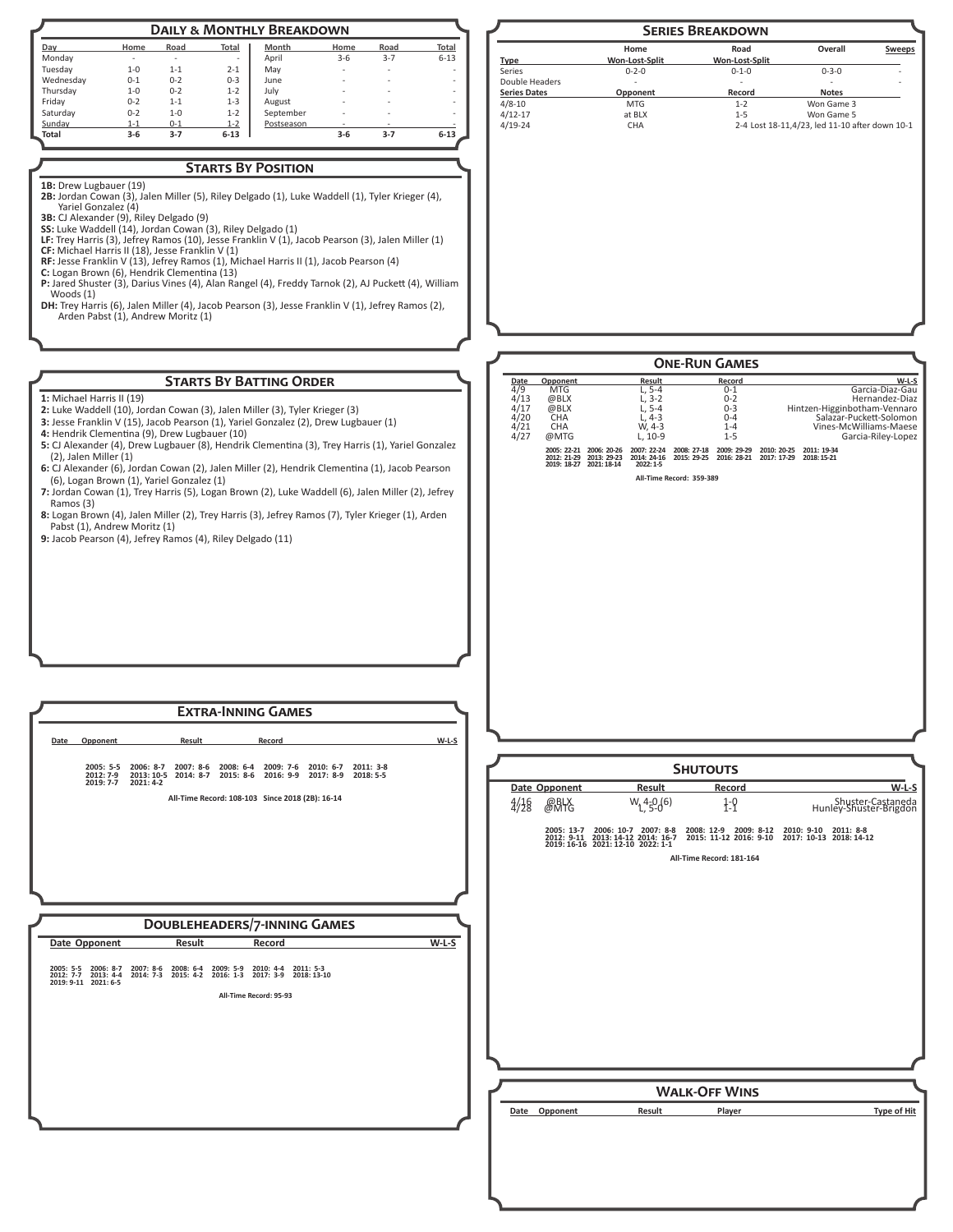| <b>DAILY &amp; MONTHLY BREAKDOWN</b> |         |         |          |            |         |         |                          |
|--------------------------------------|---------|---------|----------|------------|---------|---------|--------------------------|
| Day                                  | Home    | Road    | Total    | Month      | Home    | Road    | Total                    |
| Monday                               | ۰       | ۰       | ۰        | April      | $3 - 6$ | $3 - 7$ | $6 - 13$                 |
| Tuesday                              | $1 - 0$ | $1 - 1$ | $2 - 1$  | May        | ۰       | ٠       | ۰                        |
| Wednesday                            | $0 - 1$ | $0 - 2$ | $0 - 3$  | June       | ۰       | ٠       | ۰                        |
| Thursday                             | $1 - 0$ | $0 - 2$ | $1 - 2$  | July       | ۰       | ٠       | ۰                        |
| Friday                               | $0 - 2$ | $1 - 1$ | $1 - 3$  | August     | ۰       | ٠       | $\overline{\phantom{a}}$ |
| Saturday                             | $0 - 2$ | $1 - 0$ | $1 - 2$  | September  | ۰       | -       | ۰                        |
| Sunday                               | $1 - 1$ | $0 - 1$ | $1 - 2$  | Postseason | ۰       | ۰       |                          |
| <b>Total</b>                         | $3-6$   | $3 - 7$ | $6 - 13$ |            | $3-6$   | $3 - 7$ | $6 - 13$                 |

# **Starts By Position**

1B: Drew Lugbauer (19) **2B:** Jordan Cowan (3), Jalen Miller (5), Riley Delgado (1), Luke Waddell (1), Tyler Krieger (4),

Yariel Gonzalez (4) **3B:** CJ Alexander (9), Riley Delgado (9)

- **SS:** Luke Waddell (14), Jordan Cowan (3), Riley Delgado (1)
- **LF:** Trey Harris (3), Jefrey Ramos (10), Jesse Franklin V (1), Jacob Pearson (3), Jalen Miller (1) **CF:** Michael Harris II (18), Jesse Franklin V (1)
- **RF:** Jesse Franklin V (13), Jefrey Ramos (1), Michael Harris II (1), Jacob Pearson (4)<br>**C:** Logan Brown (6), Hendrik Clementina (13)<br>**P:** Jared Shuster (3), Darius Vines (4), Alan Rangel (4), Freddy Tarnok (2), AJ Puckett
- 
- Woods (1)
- **DH:** Trey Harris (6), Jalen Miller (4), Jacob Pearson (3), Jesse Franklin V (1), Jefrey Ramos (2), Arden Pabst (1), Andrew Moritz (1)

# **Starts By Batting Order**

**1:** Michael Harris II (19)

- **2:** Luke Waddell (10), Jordan Cowan (3), Jalen Miller (3), Tyler Krieger (3)
- **3:** Jesse Franklin V (15), Jacob Pearson (1), Yariel Gonzalez (2), Drew Lugbauer (1) **4:** Hendrik Clementina (9), Drew Lugbauer (10)
- **5:** CJ Alexander (4), Drew Lugbauer (8), Hendrik Clementina (3), Trey Harris (1), Yariel Gonzalez (2), Jalen Miller (1)
- **6:** CJ Alexander (6), Jordan Cowan (2), Jalen Miller (2), Hendrik Clementina (1), Jacob Pearson (6), Logan Brown (1), Yariel Gonzalez (1)
- **7:** Jordan Cowan (1), Trey Harris (5), Logan Brown (2), Luke Waddell (6), Jalen Miller (2), Jefrey Ramos (3)
- **8:** Logan Brown (4), Jalen Miller (2), Trey Harris (3), Jefrey Ramos (7), Tyler Krieger (1), Arden Pabst (1), Andrew Moritz (1)
- **9:** Jacob Pearson (4), Jefrey Ramos (4), Riley Delgado (11)



| <b>EXTRA-INNING GAMES</b>                                                                                                                                                |         |                 |               |                          |                                                                                                                                                                                                     |                                             |                    |
|--------------------------------------------------------------------------------------------------------------------------------------------------------------------------|---------|-----------------|---------------|--------------------------|-----------------------------------------------------------------------------------------------------------------------------------------------------------------------------------------------------|---------------------------------------------|--------------------|
| Result<br>Record<br>Opponent<br>Date                                                                                                                                     | $W-L-S$ |                 |               |                          |                                                                                                                                                                                                     |                                             |                    |
| 2005: 5-5 2006: 8-7 2007: 8-6 2008: 6-4 2009: 7-6 2010: 6-7 2011: 3-8<br>2012: 7-9 2013: 10-5 2014: 8-7 2015: 8-6 2016: 9-9 2017: 8-9 2018: 5-5                          |         |                 |               |                          | <b>SHUTOUTS</b>                                                                                                                                                                                     |                                             |                    |
| 2019: 7-7 2021: 4-2                                                                                                                                                      |         |                 | Date Opponent | Result                   | Record                                                                                                                                                                                              |                                             | $W-L-S$            |
| All-Time Record: 108-103 Since 2018 (2B): 16-14                                                                                                                          |         | $\frac{4}{128}$ | @BLX<br>@MTG  | $W_1$ <sub>4-0</sub> (6) | $1 - 9$                                                                                                                                                                                             | Shuster-Castaneda<br>Hunley-Shuster-Brigdon |                    |
|                                                                                                                                                                          |         |                 |               |                          | 2005: 13-7 2006: 10-7 2007: 8-8 2008: 12-9 2009: 8-12 2010: 9-10 2011: 8-8<br>2012: 9-11 2013: 14-12 2014: 16-7 2015: 11-12 2016: 9-10 2017: 10-13 2018: 14-12<br>2019: 16-16 2021: 12-10 2022: 1-1 |                                             |                    |
|                                                                                                                                                                          |         |                 |               |                          | All-Time Record: 181-164                                                                                                                                                                            |                                             |                    |
|                                                                                                                                                                          |         |                 |               |                          |                                                                                                                                                                                                     |                                             |                    |
|                                                                                                                                                                          |         |                 |               |                          |                                                                                                                                                                                                     |                                             |                    |
| <b>DOUBLEHEADERS/7-INNING GAMES</b>                                                                                                                                      |         |                 |               |                          |                                                                                                                                                                                                     |                                             |                    |
| Date Opponent<br>Result<br>Record                                                                                                                                        | $W-L-S$ |                 |               |                          |                                                                                                                                                                                                     |                                             |                    |
| 2005: 5-5 2006: 8-7 2007: 8-6 2008: 6-4 2009: 5-9 2010: 4-4 2011: 5-3<br>2012: 7-7 2013: 4-4 2014: 7-3 2015: 4-2 2016: 1-3 2017: 3-9 2018: 13-10<br>2019: 9-11 2021: 6-5 |         |                 |               |                          |                                                                                                                                                                                                     |                                             |                    |
| All-Time Record: 95-93                                                                                                                                                   |         |                 |               |                          |                                                                                                                                                                                                     |                                             |                    |
|                                                                                                                                                                          |         |                 |               |                          |                                                                                                                                                                                                     |                                             |                    |
|                                                                                                                                                                          |         |                 |               |                          |                                                                                                                                                                                                     |                                             |                    |
|                                                                                                                                                                          |         |                 |               |                          |                                                                                                                                                                                                     |                                             |                    |
|                                                                                                                                                                          |         |                 |               |                          | <b>WALK-OFF WINS</b>                                                                                                                                                                                |                                             |                    |
|                                                                                                                                                                          |         |                 |               | Result                   | Player                                                                                                                                                                                              |                                             | <b>Type of Hit</b> |
|                                                                                                                                                                          |         |                 | Date Opponent |                          |                                                                                                                                                                                                     |                                             |                    |
|                                                                                                                                                                          |         |                 |               |                          |                                                                                                                                                                                                     |                                             |                    |
|                                                                                                                                                                          |         |                 |               |                          |                                                                                                                                                                                                     |                                             |                    |
|                                                                                                                                                                          |         |                 |               |                          |                                                                                                                                                                                                     |                                             |                    |
|                                                                                                                                                                          |         |                 |               |                          |                                                                                                                                                                                                     |                                             |                    |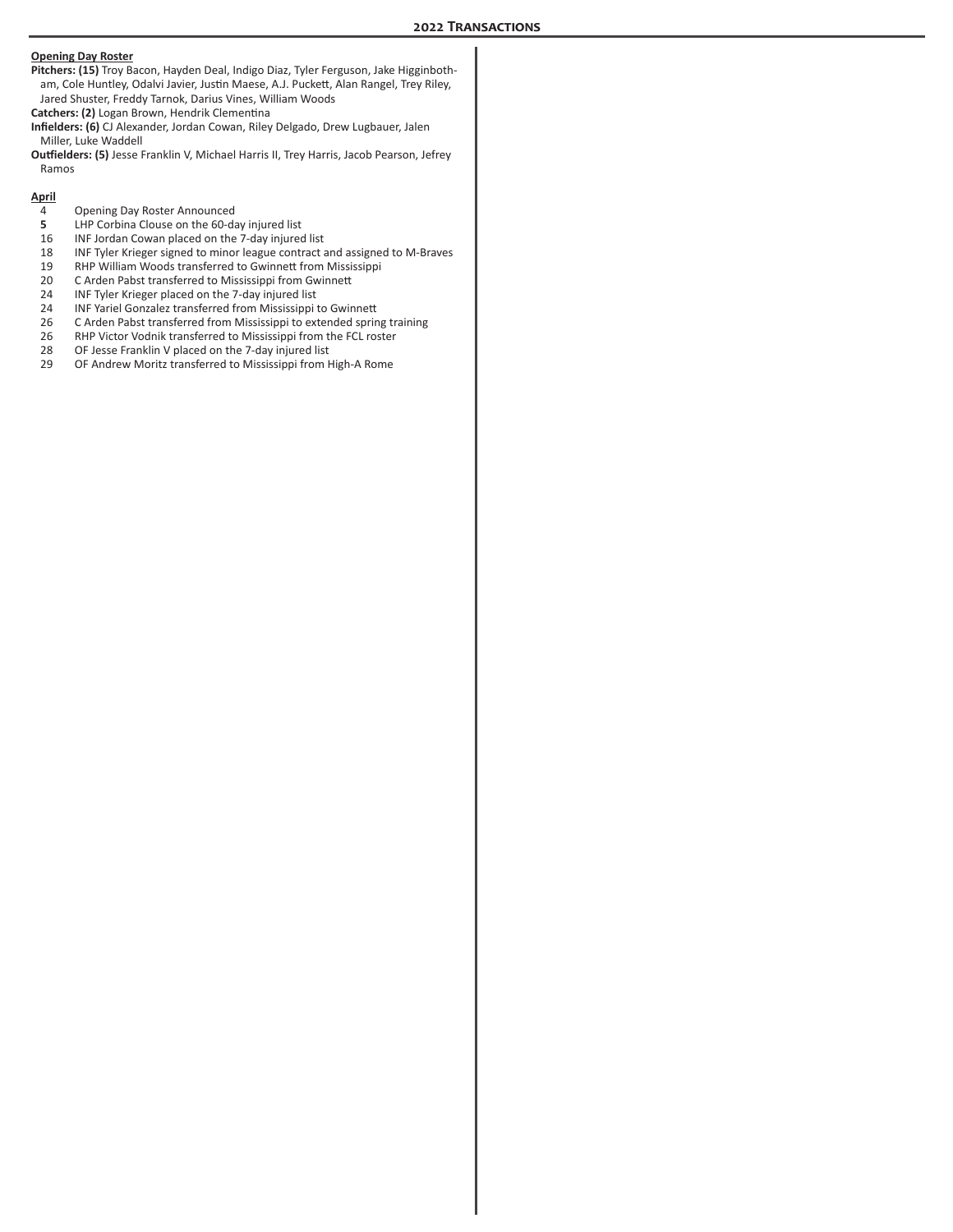### **Opening Day Roster**

**Pitchers: (15)** Troy Bacon, Hayden Deal, Indigo Diaz, Tyler Ferguson, Jake Higginbotham, Cole Huntley, Odalvi Javier, Justin Maese, A.J. Puckett, Alan Rangel, Trey Riley, Jared Shuster, Freddy Tarnok, Darius Vines, William Woods

**Catchers: (2)** Logan Brown, Hendrik Clementina

**Infielders: (6)** CJ Alexander, Jordan Cowan, Riley Delgado, Drew Lugbauer, Jalen Miller, Luke Waddell

**Outfielders: (5)** Jesse Franklin V, Michael Harris II, Trey Harris, Jacob Pearson, Jefrey Ramos

#### **April**

- 4 Opening Day Roster Announced<br>5 LHP Corbina Clouse on the 60-da
- **5** LHP Corbina Clouse on the 60-day injured list<br>16 INF Jordan Cowan placed on the 7-day injured
- 16 INF Jordan Cowan placed on the 7-day injured list
- 18 INF Tyler Krieger signed to minor league contract and assigned to M-Braves<br>19 RHP William Woods transferred to Gwinnett from Mississippi
- 19 RHP William Woods transferred to Gwinnett from Mississippi<br>20 C Arden Pabst transferred to Mississippi from Gwinnett
- C Arden Pabst transferred to Mississippi from Gwinnett
- 24 INF Tyler Krieger placed on the 7-day injured list<br>24 INF Yariel Gonzalez transferred from Mississippi
- 24 INF Yariel Gonzalez transferred from Mississippi to Gwinnett
- 26 C Arden Pabst transferred from Mississippi to extended spring training<br>26 RHP Victor Vodnik transferred to Mississippi from the FCL roster
- 26 RHP Victor Vodnik transferred to Mississippi from the FCL roster<br>28 OF Jesse Franklin V placed on the 7-day injured list
- OF Jesse Franklin V placed on the 7-day injured list
- 29 OF Andrew Moritz transferred to Mississippi from High-A Rome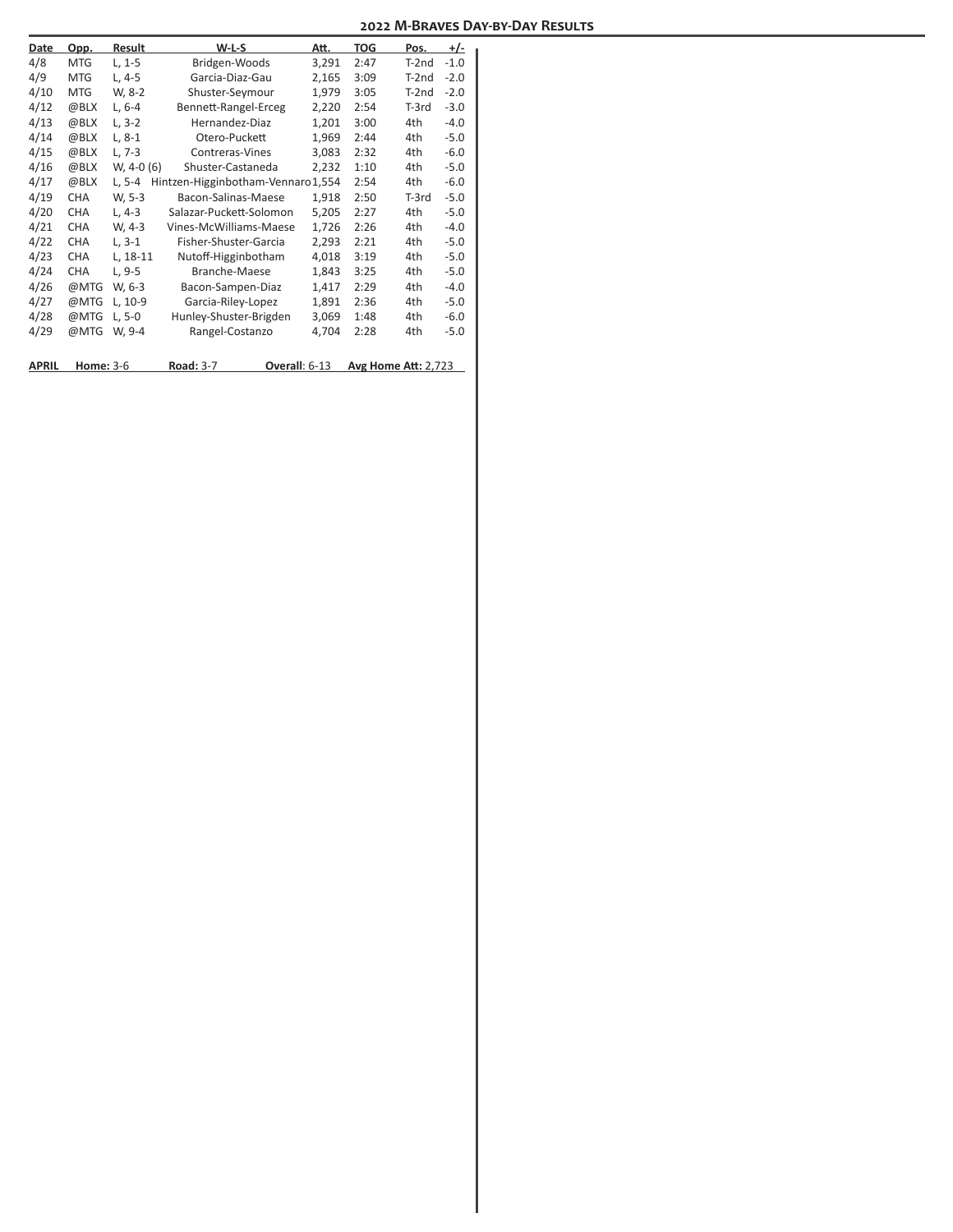| Date         | Opp.             | Result     | W-L-S                             | Att.  | TOG  | Pos.                       | $+/-$  |
|--------------|------------------|------------|-----------------------------------|-------|------|----------------------------|--------|
| 4/8          | <b>MTG</b>       | $L, 1-5$   | Bridgen-Woods                     | 3,291 | 2:47 | $T-2nd$                    | $-1.0$ |
| 4/9          | <b>MTG</b>       | L, 4-5     | Garcia-Diaz-Gau                   | 2,165 | 3:09 | T-2nd                      | $-2.0$ |
| 4/10         | <b>MTG</b>       | W, 8-2     | Shuster-Seymour                   | 1,979 | 3:05 | $T-2nd$                    | $-2.0$ |
| 4/12         | @BLX             | $L, 6-4$   | Bennett-Rangel-Erceg              | 2,220 | 2:54 | T-3rd                      | $-3.0$ |
| 4/13         | @BLX             | $L, 3-2$   | Hernandez-Diaz                    | 1,201 | 3:00 | 4th                        | $-4.0$ |
| 4/14         | @BLX             | $L, 8-1$   | Otero-Puckett                     | 1,969 | 2:44 | 4th                        | $-5.0$ |
| 4/15         | @BLX             | $L, 7-3$   | Contreras-Vines                   | 3,083 | 2:32 | 4th                        | $-6.0$ |
| 4/16         | @BLX             | W, 4-0 (6) | Shuster-Castaneda                 | 2,232 | 1:10 | 4th                        | $-5.0$ |
| 4/17         | @BLX             | $L, 5-4$   | Hintzen-Higginbotham-Vennaro1,554 |       | 2:54 | 4th                        | $-6.0$ |
| 4/19         | <b>CHA</b>       | W, 5-3     | Bacon-Salinas-Maese               | 1,918 | 2:50 | $T-3rd$                    | $-5.0$ |
| 4/20         | <b>CHA</b>       | $L, 4-3$   | Salazar-Puckett-Solomon           | 5,205 | 2:27 | 4th                        | $-5.0$ |
| 4/21         | CHA              | W, 4-3     | Vines-McWilliams-Maese            | 1,726 | 2:26 | 4th                        | $-4.0$ |
| 4/22         | <b>CHA</b>       | $L, 3-1$   | Fisher-Shuster-Garcia             | 2,293 | 2:21 | 4th                        | $-5.0$ |
| 4/23         | <b>CHA</b>       | L, 18-11   | Nutoff-Higginbotham               | 4,018 | 3:19 | 4th                        | $-5.0$ |
| 4/24         | <b>CHA</b>       | L, 9-5     | Branche-Maese                     | 1,843 | 3:25 | 4th                        | $-5.0$ |
| 4/26         | @MTG             | W, 6-3     | Bacon-Sampen-Diaz                 | 1,417 | 2:29 | 4th                        | $-4.0$ |
| 4/27         | @MTG             | L, 10-9    | Garcia-Riley-Lopez                | 1,891 | 2:36 | 4th                        | $-5.0$ |
| 4/28         | @MTG             | $L, 5-0$   | Hunley-Shuster-Brigden            | 3,069 | 1:48 | 4th                        | $-6.0$ |
| 4/29         | @MTG             | W, 9-4     | Rangel-Costanzo                   | 4,704 | 2:28 | 4th                        | $-5.0$ |
|              |                  |            |                                   |       |      |                            |        |
| <b>APRIL</b> | <b>Home: 3-6</b> |            | <b>Road: 3-7</b><br>Overall: 6-13 |       |      | <b>Avg Home Att: 2,723</b> |        |